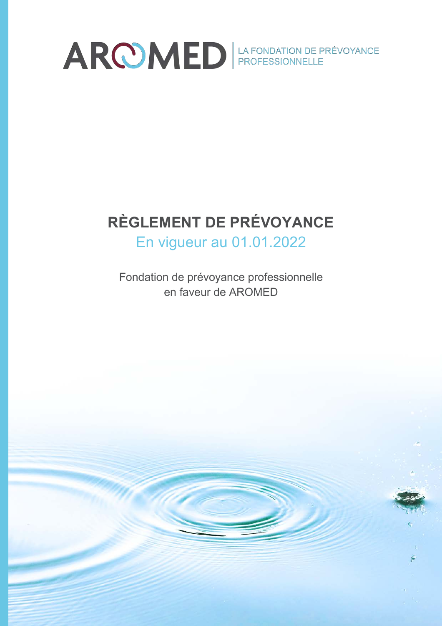

# **RÈGLEMENT DE PRÉVOYANCE**

En vigueur au 01.01.2022

Fondation de prévoyance professionnelle en faveur de AROMED

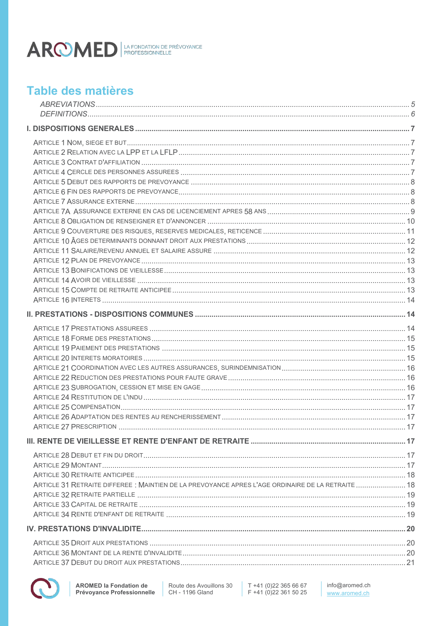

# Table des matières

| ARTICLE 31 RETRAITE DIFFEREE : MAINTIEN DE LA PREVOYANCE APRES L'AGE ORDINAIRE DE LA RETRAITE 18 |  |
|--------------------------------------------------------------------------------------------------|--|
|                                                                                                  |  |
|                                                                                                  |  |
|                                                                                                  |  |
|                                                                                                  |  |
|                                                                                                  |  |
|                                                                                                  |  |
|                                                                                                  |  |
|                                                                                                  |  |



T +41 (0)22 365 66 67<br>F +41 (0)22 361 50 25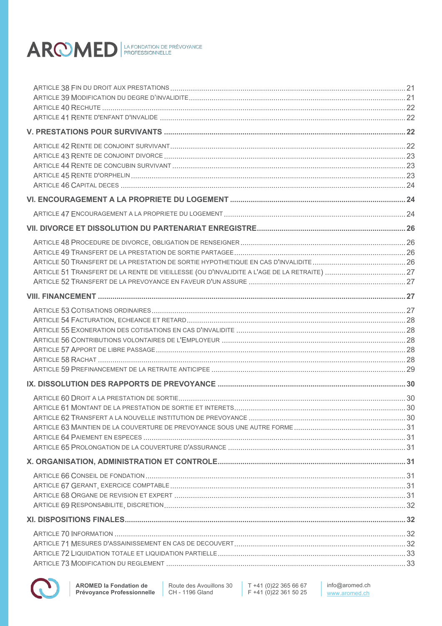

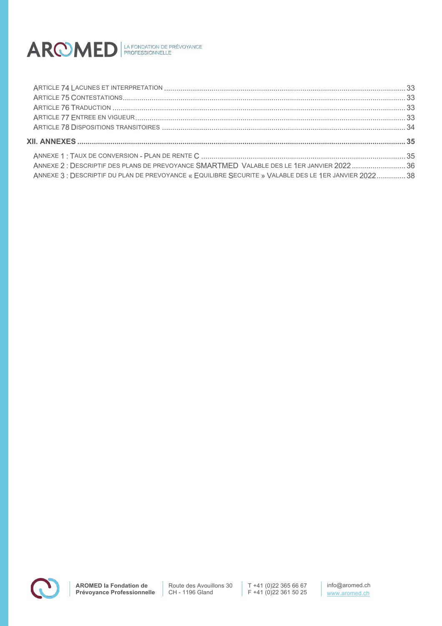

| ANNEXE 2: DESCRIPTIF DES PLANS DE PREVOYANCE SMARTMED VALABLE DES LE 1ER JANVIER 202236              |  |
|------------------------------------------------------------------------------------------------------|--|
| ANNEXE 3: DESCRIPTIF DU PLAN DE PREVOYANCE « EQUILIBRE SECURITE » VALABLE DES LE 1ER JANVIER 2022 38 |  |

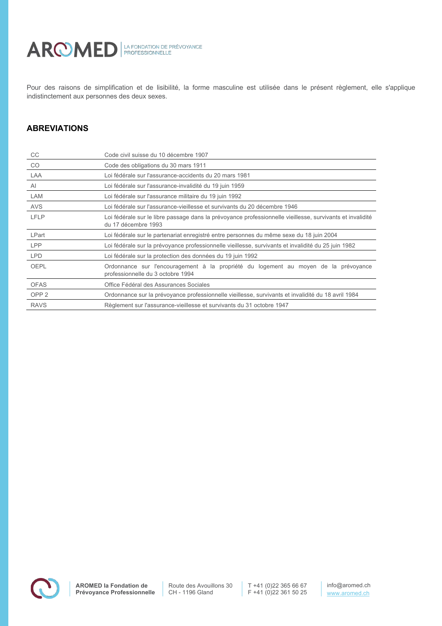

Pour des raisons de simplification et de lisibilité, la forme masculine est utilisée dans le présent règlement, elle s'applique indistinctement aux personnes des deux sexes.

# **ABREVIATIONS**

| CC               | Code civil suisse du 10 décembre 1907                                                                                            |
|------------------|----------------------------------------------------------------------------------------------------------------------------------|
| <b>CO</b>        | Code des obligations du 30 mars 1911                                                                                             |
| LAA              | Loi fédérale sur l'assurance-accidents du 20 mars 1981                                                                           |
| AI               | Loi fédérale sur l'assurance-invalidité du 19 juin 1959                                                                          |
| LAM              | Loi fédérale sur l'assurance militaire du 19 juin 1992                                                                           |
| AVS              | Loi fédérale sur l'assurance-vieillesse et survivants du 20 décembre 1946                                                        |
| <b>LFLP</b>      | Loi fédérale sur le libre passage dans la prévoyance professionnelle vieillesse, survivants et invalidité<br>du 17 décembre 1993 |
| LPart            | Loi fédérale sur le partenariat enregistré entre personnes du même sexe du 18 juin 2004                                          |
| <b>LPP</b>       | Loi fédérale sur la prévoyance professionnelle vieillesse, survivants et invalidité du 25 juin 1982                              |
| <b>LPD</b>       | Loi fédérale sur la protection des données du 19 juin 1992                                                                       |
| <b>OEPL</b>      | Ordonnance sur l'encouragement à la propriété du logement au moyen de la prévoyance<br>professionnelle du 3 octobre 1994         |
| <b>OFAS</b>      | Office Fédéral des Assurances Sociales                                                                                           |
| OPP <sub>2</sub> | Ordonnance sur la prévoyance professionnelle vieillesse, survivants et invalidité du 18 avril 1984                               |
| <b>RAVS</b>      | Règlement sur l'assurance-vieillesse et survivants du 31 octobre 1947                                                            |

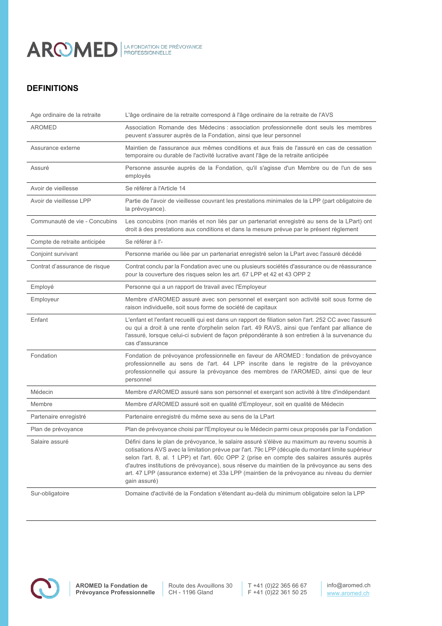

# **DEFINITIONS**

| Age ordinaire de la retraite  | L'âge ordinaire de la retraite correspond à l'âge ordinaire de la retraite de l'AVS                                                                                                                                                                                                                                                                                                                                                                                                                         |
|-------------------------------|-------------------------------------------------------------------------------------------------------------------------------------------------------------------------------------------------------------------------------------------------------------------------------------------------------------------------------------------------------------------------------------------------------------------------------------------------------------------------------------------------------------|
| <b>AROMED</b>                 | Association Romande des Médecins : association professionnelle dont seuls les membres<br>peuvent s'assurer auprès de la Fondation, ainsi que leur personnel                                                                                                                                                                                                                                                                                                                                                 |
| Assurance externe             | Maintien de l'assurance aux mêmes conditions et aux frais de l'assuré en cas de cessation<br>temporaire ou durable de l'activité lucrative avant l'âge de la retraite anticipée                                                                                                                                                                                                                                                                                                                             |
| Assuré                        | Personne assurée auprès de la Fondation, qu'il s'agisse d'un Membre ou de l'un de ses<br>employés                                                                                                                                                                                                                                                                                                                                                                                                           |
| Avoir de vieillesse           | Se référer à l'Article 14                                                                                                                                                                                                                                                                                                                                                                                                                                                                                   |
| Avoir de vieillesse LPP       | Partie de l'avoir de vieillesse couvrant les prestations minimales de la LPP (part obligatoire de<br>la prévoyance).                                                                                                                                                                                                                                                                                                                                                                                        |
| Communauté de vie - Concubins | Les concubins (non mariés et non liés par un partenariat enregistré au sens de la LPart) ont<br>droit à des prestations aux conditions et dans la mesure prévue par le présent règlement                                                                                                                                                                                                                                                                                                                    |
| Compte de retraite anticipée  | Se référer à l'-                                                                                                                                                                                                                                                                                                                                                                                                                                                                                            |
| Conjoint survivant            | Personne mariée ou liée par un partenariat enregistré selon la LPart avec l'assuré décédé                                                                                                                                                                                                                                                                                                                                                                                                                   |
| Contrat d'assurance de risque | Contrat conclu par la Fondation avec une ou plusieurs sociétés d'assurance ou de réassurance<br>pour la couverture des risques selon les art. 67 LPP et 42 et 43 OPP 2                                                                                                                                                                                                                                                                                                                                      |
| Employé                       | Personne qui a un rapport de travail avec l'Employeur                                                                                                                                                                                                                                                                                                                                                                                                                                                       |
| Employeur                     | Membre d'AROMED assuré avec son personnel et exerçant son activité soit sous forme de<br>raison individuelle, soit sous forme de société de capitaux                                                                                                                                                                                                                                                                                                                                                        |
| Enfant                        | L'enfant et l'enfant recueilli qui est dans un rapport de filiation selon l'art. 252 CC avec l'assuré<br>ou qui a droit à une rente d'orphelin selon l'art. 49 RAVS, ainsi que l'enfant par alliance de<br>l'assuré, lorsque celui-ci subvient de façon prépondérante à son entretien à la survenance du<br>cas d'assurance                                                                                                                                                                                 |
| Fondation                     | Fondation de prévoyance professionnelle en faveur de AROMED : fondation de prévoyance<br>professionnelle au sens de l'art. 44 LPP inscrite dans le registre de la prévoyance<br>professionnelle qui assure la prévoyance des membres de l'AROMED, ainsi que de leur<br>personnel                                                                                                                                                                                                                            |
| Médecin                       | Membre d'AROMED assuré sans son personnel et exerçant son activité à titre d'indépendant                                                                                                                                                                                                                                                                                                                                                                                                                    |
| Membre                        | Membre d'AROMED assuré soit en qualité d'Employeur, soit en qualité de Médecin                                                                                                                                                                                                                                                                                                                                                                                                                              |
| Partenaire enregistré         | Partenaire enregistré du même sexe au sens de la LPart                                                                                                                                                                                                                                                                                                                                                                                                                                                      |
| Plan de prévoyance            | Plan de prévoyance choisi par l'Employeur ou le Médecin parmi ceux proposés par la Fondation                                                                                                                                                                                                                                                                                                                                                                                                                |
| Salaire assuré                | Défini dans le plan de prévoyance, le salaire assuré s'élève au maximum au revenu soumis à<br>cotisations AVS avec la limitation prévue par l'art. 79c LPP (décuple du montant limite supérieur<br>selon l'art. 8, al. 1 LPP) et l'art. 60c OPP 2 (prise en compte des salaires assurés auprès<br>d'autres institutions de prévoyance), sous réserve du maintien de la prévoyance au sens des<br>art. 47 LPP (assurance externe) et 33a LPP (maintien de la prévoyance au niveau du dernier<br>gain assuré) |
| Sur-obligatoire               | Domaine d'activité de la Fondation s'étendant au-delà du minimum obligatoire selon la LPP                                                                                                                                                                                                                                                                                                                                                                                                                   |

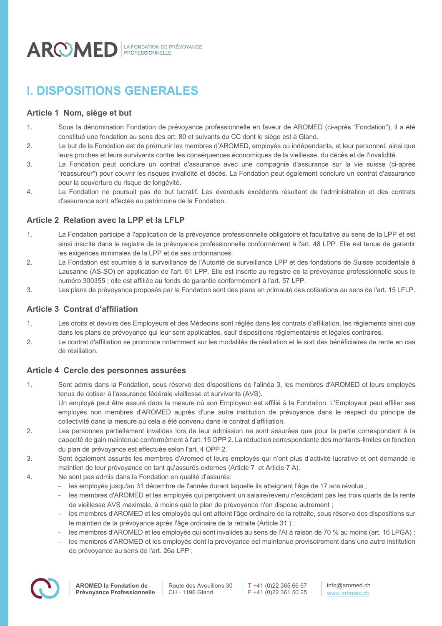

# **I. DISPOSITIONS GENERALES**

# **Article 1 Nom, siège et but**

- 1. Sous la dénomination Fondation de prévoyance professionnelle en faveur de AROMED (ci-après "Fondation"), il a été constitué une fondation au sens des art. 80 et suivants du CC dont le siège est à Gland.
- 2. Le but de la Fondation est de prémunir les membres d'AROMED, employés ou indépendants, et leur personnel, ainsi que leurs proches et leurs survivants contre les conséquences économiques de la vieillesse, du décès et de l'invalidité.
- 3. La Fondation peut conclure un contrat d'assurance avec une compagnie d'assurance sur la vie suisse (ci-après "réassureur") pour couvrir les risques invalidité et décès. La Fondation peut également conclure un contrat d'assurance pour la couverture du risque de longévité.
- 4. La Fondation ne poursuit pas de but lucratif. Les éventuels excédents résultant de l'administration et des contrats d'assurance sont affectés au patrimoine de la Fondation.

# **Article 2 Relation avec la LPP et la LFLP**

- 1. La Fondation participe à l'application de la prévoyance professionnelle obligatoire et facultative au sens de la LPP et est ainsi inscrite dans le registre de la prévoyance professionnelle conformément à l'art. 48 LPP. Elle est tenue de garantir les exigences minimales de la LPP et de ses ordonnances.
- 2. La Fondation est soumise à la surveillance de l'Autorité de surveillance LPP et des fondations de Suisse occidentale à Lausanne (AS-SO) en application de l'art. 61 LPP. Elle est inscrite au registre de la prévoyance professionnelle sous le numéro 300355 ; elle est affiliée au fonds de garantie conformément à l'art. 57 LPP.
- 3. Les plans de prévoyance proposés par la Fondation sont des plans en primauté des cotisations au sens de l'art. 15 LFLP.

# **Article 3 Contrat d'affiliation**

- 1. Les droits et devoirs des Employeurs et des Médecins sont réglés dans les contrats d'affiliation, les règlements ainsi que dans les plans de prévoyance qui leur sont applicables, sauf dispositions réglementaires et légales contraires.
- 2. Le contrat d'affiliation se prononce notamment sur les modalités de résiliation et le sort des bénéficiaires de rente en cas de résiliation.

# **Article 4 Cercle des personnes assurées**

1. Sont admis dans la Fondation, sous réserve des dispositions de l'alinéa 3, les membres d'AROMED et leurs employés tenus de cotiser à l'assurance fédérale vieillesse et survivants (AVS).

Un employé peut être assuré dans la mesure où son Employeur est affilié à la Fondation. L'Employeur peut affilier ses employés non membres d'AROMED auprès d'une autre institution de prévoyance dans le respect du principe de collectivité dans la mesure où cela a été convenu dans le contrat d'affiliation.

- 2. Les personnes partiellement invalides lors de leur admission ne sont assurées que pour la partie correspondant à la capacité de gain maintenue conformément à l'art. 15 OPP 2. La réduction correspondante des montants-limites en fonction du plan de prévoyance est effectuée selon l'art. 4 OPP 2.
- 3. Sont également assurés les membres d'Aromed et leurs employés qui n'ont plus d'activité lucrative et ont demandé le maintien de leur prévoyance en tant qu'assurés externes (Article 7 et Article 7 A).
- 4. Ne sont pas admis dans la Fondation en qualité d'assurés:
	- les employés jusqu'au 31 décembre de l'année durant laquelle ils atteignent l'âge de 17 ans révolus ;
	- les membres d'AROMED et les employés qui perçoivent un salaire/revenu n'excédant pas les trois quarts de la rente de vieillesse AVS maximale, à moins que le plan de prévoyance n'en dispose autrement ;
	- les membres d'AROMED et les employés qui ont atteint l'âge ordinaire de la retraite, sous réserve des dispositions sur le maintien de la prévoyance après l'âge ordinaire de la retraite (Article 31 ) ;
	- les membres d'AROMED et les employés qui sont invalides au sens de l'AI à raison de 70 % au moins (art. 16 LPGA) ;
	- les membres d'AROMED et les employés dont la prévoyance est maintenue provisoirement dans une autre institution de prévoyance au sens de l'art. 26a LPP ;

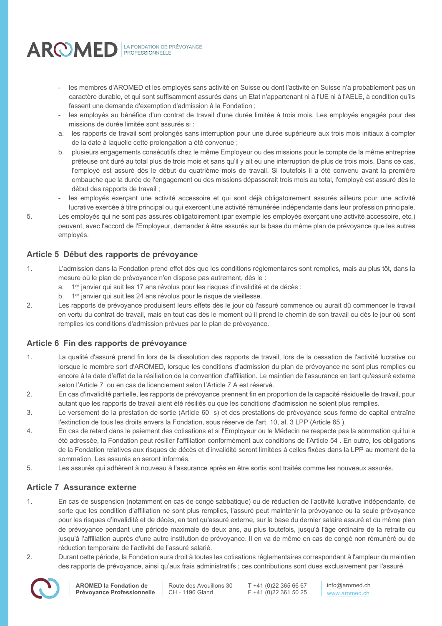

- les membres d'AROMED et les employés sans activité en Suisse ou dont l'activité en Suisse n'a probablement pas un caractère durable, et qui sont suffisamment assurés dans un Etat n'appartenant ni à l'UE ni à l'AELE, à condition qu'ils fassent une demande d'exemption d'admission à la Fondation ;
- les employés au bénéfice d'un contrat de travail d'une durée limitée à trois mois. Les employés engagés pour des missions de durée limitée sont assurés si :
- a. les rapports de travail sont prolongés sans interruption pour une durée supérieure aux trois mois initiaux à compter de la date à laquelle cette prolongation a été convenue ;
- b. plusieurs engagements consécutifs chez le même Employeur ou des missions pour le compte de la même entreprise prêteuse ont duré au total plus de trois mois et sans qu'il y ait eu une interruption de plus de trois mois. Dans ce cas, l'employé est assuré dès le début du quatrième mois de travail. Si toutefois il a été convenu avant la première embauche que la durée de l'engagement ou des missions dépasserait trois mois au total, l'employé est assuré dès le début des rapports de travail ;
- les employés exerçant une activité accessoire et qui sont déjà obligatoirement assurés ailleurs pour une activité lucrative exercée à titre principal ou qui exercent une activité rémunérée indépendante dans leur profession principale.
- 5. Les employés qui ne sont pas assurés obligatoirement (par exemple les employés exerçant une activité accessoire, etc.) peuvent, avec l'accord de l'Employeur, demander à être assurés sur la base du même plan de prévoyance que les autres employés.

# **Article 5 Début des rapports de prévoyance**

- 1. L'admission dans la Fondation prend effet dès que les conditions réglementaires sont remplies, mais au plus tôt, dans la mesure où le plan de prévoyance n'en dispose pas autrement, dès le :
	- a. 1er janvier qui suit les 17 ans révolus pour les risques d'invalidité et de décès ;
	- b. 1<sup>er</sup> janvier qui suit les 24 ans révolus pour le risque de vieillesse.
- 2. Les rapports de prévoyance produisent leurs effets dès le jour où l'assuré commence ou aurait dû commencer le travail en vertu du contrat de travail, mais en tout cas dès le moment où il prend le chemin de son travail ou dès le jour où sont remplies les conditions d'admission prévues par le plan de prévoyance.

# **Article 6 Fin des rapports de prévoyance**

- 1. La qualité d'assuré prend fin lors de la dissolution des rapports de travail, lors de la cessation de l'activité lucrative ou lorsque le membre sort d'AROMED, lorsque les conditions d'admission du plan de prévoyance ne sont plus remplies ou encore à la date d'effet de la résiliation de la convention d'affiliation. Le maintien de l'assurance en tant qu'assuré externe selon l'Article 7 ou en cas de licenciement selon l'Article 7 A est réservé.
- 2. En cas d'invalidité partielle, les rapports de prévoyance prennent fin en proportion de la capacité résiduelle de travail, pour autant que les rapports de travail aient été résiliés ou que les conditions d'admission ne soient plus remplies.
- 3. Le versement de la prestation de sortie (Article 60 s) et des prestations de prévoyance sous forme de capital entraîne l'extinction de tous les droits envers la Fondation, sous réserve de l'art. 10, al. 3 LPP (Article 65 ).
- 4. En cas de retard dans le paiement des cotisations et si l'Employeur ou le Médecin ne respecte pas la sommation qui lui a été adressée, la Fondation peut résilier l'affiliation conformément aux conditions de l'Article 54 . En outre, les obligations de la Fondation relatives aux risques de décès et d'invalidité seront limitées à celles fixées dans la LPP au moment de la sommation. Les assurés en seront informés.
- 5. Les assurés qui adhèrent à nouveau à l'assurance après en être sortis sont traités comme les nouveaux assurés.

# **Article 7 Assurance externe**

- 1. En cas de suspension (notamment en cas de congé sabbatique) ou de réduction de l'activité lucrative indépendante, de sorte que les condition d'affiliation ne sont plus remplies, l'assuré peut maintenir la prévoyance ou la seule prévoyance pour les risques d'invalidité et de décès, en tant qu'assuré externe, sur la base du dernier salaire assuré et du même plan de prévoyance pendant une période maximale de deux ans, au plus toutefois, jusqu'à l'âge ordinaire de la retraite ou jusqu'à l'affiliation auprès d'une autre institution de prévoyance. Il en va de même en cas de congé non rémunéré ou de réduction temporaire de l'activité de l'assuré salarié.
- 2. Durant cette période, la Fondation aura droit à toutes les cotisations réglementaires correspondant à l'ampleur du maintien des rapports de prévoyance, ainsi qu'aux frais administratifs ; ces contributions sont dues exclusivement par l'assuré.



Route des Avouillons 30 CH - 1196 Gland

T +41 (0)22 365 66 67 F +41 (0)22 361 50 25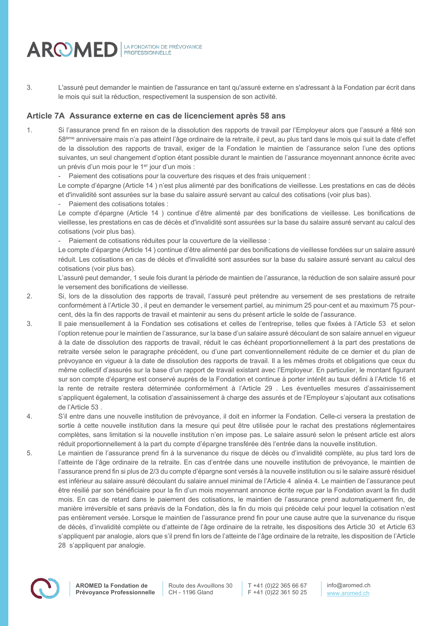

3. L'assuré peut demander le maintien de l'assurance en tant qu'assuré externe en s'adressant à la Fondation par écrit dans le mois qui suit la réduction, respectivement la suspension de son activité.

### **Article 7A Assurance externe en cas de licenciement après 58 ans**

1. Si l'assurance prend fin en raison de la dissolution des rapports de travail par l'Employeur alors que l'assuré a fêté son 58ème anniversaire mais n'a pas atteint l'âge ordinaire de la retraite, il peut, au plus tard dans le mois qui suit la date d'effet de la dissolution des rapports de travail, exiger de la Fondation le maintien de l'assurance selon l'une des options suivantes, un seul changement d'option étant possible durant le maintien de l'assurance moyennant annonce écrite avec un prévis d'un mois pour le 1er jour d'un mois :

- Paiement des cotisations pour la couverture des risques et des frais uniquement :

Le compte d'épargne (Article 14 ) n'est plus alimenté par des bonifications de vieillesse. Les prestations en cas de décès et d'invalidité sont assurées sur la base du salaire assuré servant au calcul des cotisations (voir plus bas).

Paiement des cotisations totales :

Le compte d'épargne (Article 14 ) continue d'être alimenté par des bonifications de vieillesse. Les bonifications de vieillesse, les prestations en cas de décès et d'invalidité sont assurées sur la base du salaire assuré servant au calcul des cotisations (voir plus bas).

- Paiement de cotisations réduites pour la couverture de la vieillesse :

Le compte d'épargne (Article 14 ) continue d'être alimenté par des bonifications de vieillesse fondées sur un salaire assuré réduit. Les cotisations en cas de décès et d'invalidité sont assurées sur la base du salaire assuré servant au calcul des cotisations (voir plus bas).

L'assuré peut demander, 1 seule fois durant la période de maintien de l'assurance, la réduction de son salaire assuré pour le versement des bonifications de vieillesse.

- 2. Si, lors de la dissolution des rapports de travail, l'assuré peut prétendre au versement de ses prestations de retraite conformément à l'Article 30 , il peut en demander le versement partiel, au minimum 25 pour-cent et au maximum 75 pourcent, dès la fin des rapports de travail et maintenir au sens du présent article le solde de l'assurance.
- 3. Il paie mensuellement à la Fondation ses cotisations et celles de l'entreprise, telles que fixées à l'Article 53 et selon l'option retenue pour le maintien de l'assurance, sur la base d'un salaire assuré découlant de son salaire annuel en vigueur à la date de dissolution des rapports de travail, réduit le cas échéant proportionnellement à la part des prestations de retraite versée selon le paragraphe précédent, ou d'une part conventionnellement réduite de ce dernier et du plan de prévoyance en vigueur à la date de dissolution des rapports de travail. Il a les mêmes droits et obligations que ceux du même collectif d'assurés sur la base d'un rapport de travail existant avec l'Employeur. En particulier, le montant figurant sur son compte d'épargne est conservé auprès de la Fondation et continue à porter intérêt au taux défini à l'Article 16 et la rente de retraite restera déterminée conformément à l'Article 29 . Les éventuelles mesures d'assainissement s'appliquent également, la cotisation d'assainissement à charge des assurés et de l'Employeur s'ajoutant aux cotisations de l'Article 53 .
- 4. S'il entre dans une nouvelle institution de prévoyance, il doit en informer la Fondation. Celle-ci versera la prestation de sortie à cette nouvelle institution dans la mesure qui peut être utilisée pour le rachat des prestations réglementaires complètes, sans limitation si la nouvelle institution n'en impose pas. Le salaire assuré selon le présent article est alors réduit proportionnellement à la part du compte d'épargne transférée dès l'entrée dans la nouvelle institution.
- 5. Le maintien de l'assurance prend fin à la survenance du risque de décès ou d'invalidité complète, au plus tard lors de l'atteinte de l'âge ordinaire de la retraite. En cas d'entrée dans une nouvelle institution de prévoyance, le maintien de l'assurance prend fin si plus de 2/3 du compte d'épargne sont versés à la nouvelle institution ou si le salaire assuré résiduel est inférieur au salaire assuré découlant du salaire annuel minimal de l'Article 4 alinéa 4. Le maintien de l'assurance peut être résilié par son bénéficiaire pour la fin d'un mois moyennant annonce écrite reçue par la Fondation avant la fin dudit mois. En cas de retard dans le paiement des cotisations, le maintien de l'assurance prend automatiquement fin, de manière irréversible et sans préavis de la Fondation, dès la fin du mois qui précède celui pour lequel la cotisation n'est pas entièrement versée. Lorsque le maintien de l'assurance prend fin pour une cause autre que la survenance du risque de décès, d'invalidité complète ou d'atteinte de l'âge ordinaire de la retraite, les dispositions des Article 30 et Article 63 s'appliquent par analogie, alors que s'il prend fin lors de l'atteinte de l'âge ordinaire de la retraite, les disposition de l'Article 28 s'appliquent par analogie.

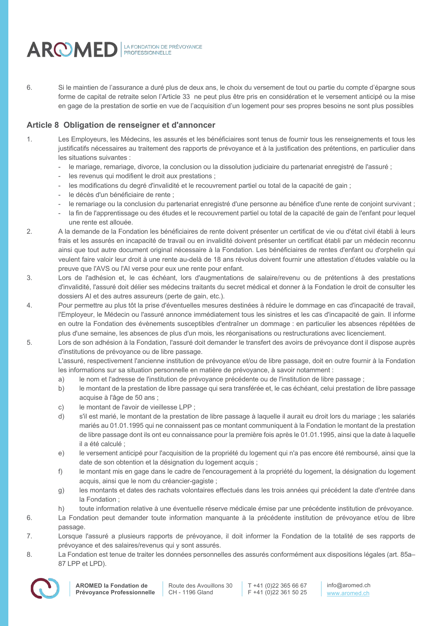

6. Si le maintien de l'assurance a duré plus de deux ans, le choix du versement de tout ou partie du compte d'épargne sous forme de capital de retraite selon l'Article 33 ne peut plus être pris en considération et le versement anticipé ou la mise en gage de la prestation de sortie en vue de l'acquisition d'un logement pour ses propres besoins ne sont plus possibles

# **Article 8 Obligation de renseigner et d'annoncer**

- 1. Les Employeurs, les Médecins, les assurés et les bénéficiaires sont tenus de fournir tous les renseignements et tous les justificatifs nécessaires au traitement des rapports de prévoyance et à la justification des prétentions, en particulier dans les situations suivantes :
	- le mariage, remariage, divorce, la conclusion ou la dissolution judiciaire du partenariat enregistré de l'assuré ;
	- les revenus qui modifient le droit aux prestations :
	- les modifications du degré d'invalidité et le recouvrement partiel ou total de la capacité de gain ;
	- le décès d'un bénéficiaire de rente ;
	- le remariage ou la conclusion du partenariat enregistré d'une personne au bénéfice d'une rente de conjoint survivant ;
	- la fin de l'apprentissage ou des études et le recouvrement partiel ou total de la capacité de gain de l'enfant pour lequel une rente est allouée.
- 2. A la demande de la Fondation les bénéficiaires de rente doivent présenter un certificat de vie ou d'état civil établi à leurs frais et les assurés en incapacité de travail ou en invalidité doivent présenter un certificat établi par un médecin reconnu ainsi que tout autre document original nécessaire à la Fondation. Les bénéficiaires de rentes d'enfant ou d'orphelin qui veulent faire valoir leur droit à une rente au-delà de 18 ans révolus doivent fournir une attestation d'études valable ou la preuve que l'AVS ou l'AI verse pour eux une rente pour enfant.
- 3. Lors de l'adhésion et, le cas échéant, lors d'augmentations de salaire/revenu ou de prétentions à des prestations d'invalidité, l'assuré doit délier ses médecins traitants du secret médical et donner à la Fondation le droit de consulter les dossiers AI et des autres assureurs (perte de gain, etc.).
- 4. Pour permettre au plus tôt la prise d'éventuelles mesures destinées à réduire le dommage en cas d'incapacité de travail, l'Employeur, le Médecin ou l'assuré annonce immédiatement tous les sinistres et les cas d'incapacité de gain. Il informe en outre la Fondation des évènements susceptibles d'entraîner un dommage : en particulier les absences répétées de plus d'une semaine, les absences de plus d'un mois, les réorganisations ou restructurations avec licenciement.
- 5. Lors de son adhésion à la Fondation, l'assuré doit demander le transfert des avoirs de prévoyance dont il dispose auprès d'institutions de prévoyance ou de libre passage.

L'assuré, respectivement l'ancienne institution de prévoyance et/ou de libre passage, doit en outre fournir à la Fondation les informations sur sa situation personnelle en matière de prévoyance, à savoir notamment :

- a) le nom et l'adresse de l'institution de prévoyance précédente ou de l'institution de libre passage ;
- b) le montant de la prestation de libre passage qui sera transférée et, le cas échéant, celui prestation de libre passage acquise à l'âge de 50 ans ;
- c) le montant de l'avoir de vieillesse LPP ;
- d) s'il est marié, le montant de la prestation de libre passage à laquelle il aurait eu droit lors du mariage ; les salariés mariés au 01.01.1995 qui ne connaissent pas ce montant communiquent à la Fondation le montant de la prestation de libre passage dont ils ont eu connaissance pour la première fois après le 01.01.1995, ainsi que la date à laquelle il a été calculé ;
- e) le versement anticipé pour l'acquisition de la propriété du logement qui n'a pas encore été remboursé, ainsi que la date de son obtention et la désignation du logement acquis ;
- f) le montant mis en gage dans le cadre de l'encouragement à la propriété du logement, la désignation du logement acquis, ainsi que le nom du créancier-gagiste ;
- g) les montants et dates des rachats volontaires effectués dans les trois années qui précédent la date d'entrée dans la Fondation ;
- h) toute information relative à une éventuelle réserve médicale émise par une précédente institution de prévoyance.
- 6. La Fondation peut demander toute information manquante à la précédente institution de prévoyance et/ou de libre passage.
- 7. Lorsque l'assuré a plusieurs rapports de prévoyance, il doit informer la Fondation de la totalité de ses rapports de prévoyance et des salaires/revenus qui y sont assurés.
- 8. La Fondation est tenue de traiter les données personnelles des assurés conformément aux dispositions légales (art. 85a– 87 LPP et LPD).

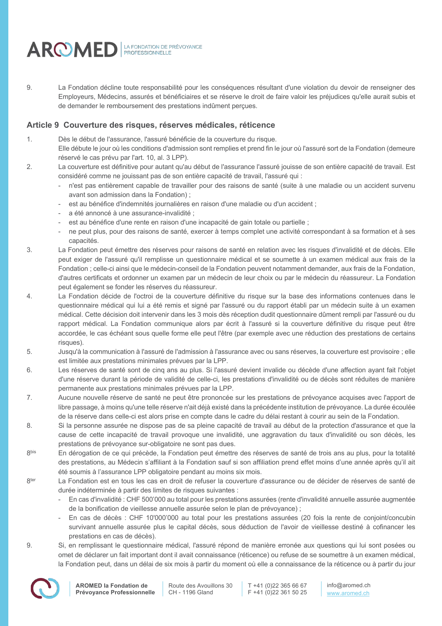

9. La Fondation décline toute responsabilité pour les conséquences résultant d'une violation du devoir de renseigner des Employeurs, Médecins, assurés et bénéficiaires et se réserve le droit de faire valoir les préjudices qu'elle aurait subis et de demander le remboursement des prestations indûment perçues.

# **Article 9 Couverture des risques, réserves médicales, réticence**

- 1. Dès le début de l'assurance, l'assuré bénéficie de la couverture du risque.
	- Elle débute le jour où les conditions d'admission sont remplies et prend fin le jour où l'assuré sort de la Fondation (demeure réservé le cas prévu par l'art. 10, al. 3 LPP).
- 2. La couverture est définitive pour autant qu'au début de l'assurance l'assuré jouisse de son entière capacité de travail. Est considéré comme ne jouissant pas de son entière capacité de travail, l'assuré qui :
	- n'est pas entièrement capable de travailler pour des raisons de santé (suite à une maladie ou un accident survenu avant son admission dans la Fondation) ;
	- est au bénéfice d'indemnités journalières en raison d'une maladie ou d'un accident ;
	- a été annoncé à une assurance-invalidité :
	- est au bénéfice d'une rente en raison d'une incapacité de gain totale ou partielle ;
	- ne peut plus, pour des raisons de santé, exercer à temps complet une activité correspondant à sa formation et à ses capacités.
- 3. La Fondation peut émettre des réserves pour raisons de santé en relation avec les risques d'invalidité et de décès. Elle peut exiger de l'assuré qu'il remplisse un questionnaire médical et se soumette à un examen médical aux frais de la Fondation ; celle-ci ainsi que le médecin-conseil de la Fondation peuvent notamment demander, aux frais de la Fondation, d'autres certificats et ordonner un examen par un médecin de leur choix ou par le médecin du réassureur. La Fondation peut également se fonder les réserves du réassureur.
- 4. La Fondation décide de l'octroi de la couverture définitive du risque sur la base des informations contenues dans le questionnaire médical qui lui a été remis et signé par l'assuré ou du rapport établi par un médecin suite à un examen médical. Cette décision doit intervenir dans les 3 mois dès réception dudit questionnaire dûment rempli par l'assuré ou du rapport médical. La Fondation communique alors par écrit à l'assuré si la couverture définitive du risque peut être accordée, le cas échéant sous quelle forme elle peut l'être (par exemple avec une réduction des prestations de certains risques).
- 5. Jusqu'à la communication à l'assuré de l'admission à l'assurance avec ou sans réserves, la couverture est provisoire ; elle est limitée aux prestations minimales prévues par la LPP.
- 6. Les réserves de santé sont de cinq ans au plus. Si l'assuré devient invalide ou décède d'une affection ayant fait l'objet d'une réserve durant la période de validité de celle-ci, les prestations d'invalidité ou de décès sont réduites de manière permanente aux prestations minimales prévues par la LPP.
- 7. Aucune nouvelle réserve de santé ne peut être prononcée sur les prestations de prévoyance acquises avec l'apport de libre passage, à moins qu'une telle réserve n'ait déjà existé dans la précédente institution de prévoyance. La durée écoulée de la réserve dans celle-ci est alors prise en compte dans le cadre du délai restant à courir au sein de la Fondation.
- 8. Si la personne assurée ne dispose pas de sa pleine capacité de travail au début de la protection d'assurance et que la cause de cette incapacité de travail provoque une invalidité, une aggravation du taux d'invalidité ou son décès, les prestations de prévoyance sur-obligatoire ne sont pas dues.
- 8<sup>bis</sup> En dérogation de ce qui précède, la Fondation peut émettre des réserves de santé de trois ans au plus, pour la totalité des prestations, au Médecin s'affiliant à la Fondation sauf si son affiliation prend effet moins d'une année après qu'il ait été soumis à l'assurance LPP obligatoire pendant au moins six mois.
- 8<sup>ter</sup> La Fondation est en tous les cas en droit de refuser la couverture d'assurance ou de décider de réserves de santé de durée indéterminée à partir des limites de risques suivantes :
	- En cas d'invalidité : CHF 500'000 au total pour les prestations assurées (rente d'invalidité annuelle assurée augmentée de la bonification de vieillesse annuelle assurée selon le plan de prévoyance) ;
	- En cas de décès : CHF 10'000'000 au total pour les prestations assurées (20 fois la rente de conjoint/concubin survivant annuelle assurée plus le capital décès, sous déduction de l'avoir de vieillesse destiné à cofinancer les prestations en cas de décès).
- 9. Si, en remplissant le questionnaire médical, l'assuré répond de manière erronée aux questions qui lui sont posées ou omet de déclarer un fait important dont il avait connaissance (réticence) ou refuse de se soumettre à un examen médical, la Fondation peut, dans un délai de six mois à partir du moment où elle a connaissance de la réticence ou à partir du jour

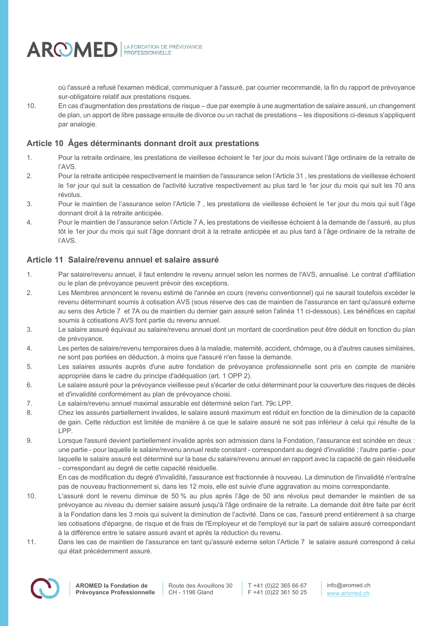

où l'assuré a refusé l'examen médical, communiquer à l'assuré, par courrier recommandé, la fin du rapport de prévoyance sur-obligatoire relatif aux prestations risques.

10. En cas d'augmentation des prestations de risque – due par exemple à une augmentation de salaire assuré, un changement de plan, un apport de libre passage ensuite de divorce ou un rachat de prestations – les dispositions ci-dessus s'appliquent par analogie.

# **Article 10 Âges déterminants donnant droit aux prestations**

- 1. Pour la retraite ordinaire, les prestations de vieillesse échoient le 1er jour du mois suivant l'âge ordinaire de la retraite de l'AVS.
- 2. Pour la retraite anticipée respectivement le maintien de l'assurance selon l'Article 31 , les prestations de vieillesse échoient le 1er jour qui suit la cessation de l'activité lucrative respectivement au plus tard le 1er jour du mois qui suit les 70 ans révolus.
- 3. Pour le maintien de l'assurance selon l'Article 7 , les prestations de vieillesse échoient le 1er jour du mois qui suit l'âge donnant droit à la retraite anticipée.
- 4. Pour le maintien de l'assurance selon l'Article 7 A, les prestations de vieillesse échoient à la demande de l'assuré, au plus tôt le 1er jour du mois qui suit l'âge donnant droit à la retraite anticipée et au plus tard à l'âge ordinaire de la retraite de l'AVS.

# **Article 11 Salaire/revenu annuel et salaire assuré**

- 1. Par salaire/revenu annuel, il faut entendre le revenu annuel selon les normes de l'AVS, annualisé. Le contrat d'affiliation ou le plan de prévoyance peuvent prévoir des exceptions.
- 2. Les Membres annoncent le revenu estimé de l'année en cours (revenu conventionnel) qui ne saurait toutefois excéder le revenu déterminant soumis à cotisation AVS (sous réserve des cas de maintien de l'assurance en tant qu'assuré externe au sens des Article 7 et 7A ou de maintien du dernier gain assuré selon l'alinéa 11 ci-dessous). Les bénéfices en capital soumis à cotisations AVS font partie du revenu annuel.
- 3. Le salaire assuré équivaut au salaire/revenu annuel dont un montant de coordination peut être déduit en fonction du plan de prévoyance.
- 4. Les pertes de salaire/revenu temporaires dues à la maladie, maternité, accident, chômage, ou à d'autres causes similaires, ne sont pas portées en déduction, à moins que l'assuré n'en fasse la demande.
- 5. Les salaires assurés auprès d'une autre fondation de prévoyance professionnelle sont pris en compte de manière appropriée dans le cadre du principe d'adéquation (art. 1 OPP 2).
- 6. Le salaire assuré pour la prévoyance vieillesse peut s'écarter de celui déterminant pour la couverture des risques de décès et d'invalidité conformément au plan de prévoyance choisi.
- 7. Le salaire/revenu annuel maximal assurable est déterminé selon l'art. 79c LPP.
- 8. Chez les assurés partiellement invalides, le salaire assuré maximum est réduit en fonction de la diminution de la capacité de gain. Cette réduction est limitée de manière à ce que le salaire assuré ne soit pas inférieur à celui qui résulte de la LPP.
- 9. Lorsque l'assuré devient partiellement invalide après son admission dans la Fondation, l'assurance est scindée en deux : une partie - pour laquelle le salaire/revenu annuel reste constant - correspondant au degré d'invalidité ; l'autre partie - pour laquelle le salaire assuré est déterminé sur la base du salaire/revenu annuel en rapport avec la capacité de gain résiduelle - correspondant au degré de cette capacité résiduelle.

En cas de modification du degré d'invalidité, l'assurance est fractionnée à nouveau. La diminution de l'invalidité n'entraîne pas de nouveau fractionnement si, dans les 12 mois, elle est suivie d'une aggravation au moins correspondante.

- 10. L'assuré dont le revenu diminue de 50 % au plus après l'âge de 50 ans révolus peut demander le maintien de sa prévoyance au niveau du dernier salaire assuré jusqu'à l'âge ordinaire de la retraite. La demande doit être faite par écrit à la Fondation dans les 3 mois qui suivent la diminution de l'activité. Dans ce cas, l'assuré prend entièrement à sa charge les cotisations d'épargne, de risque et de frais de l'Employeur et de l'employé sur la part de salaire assuré correspondant à la différence entre le salaire assuré avant et après la réduction du revenu.
- 11. Dans les cas de maintien de l'assurance en tant qu'assuré externe selon l'Article 7 le salaire assuré correspond à celui qui était précédemment assuré.

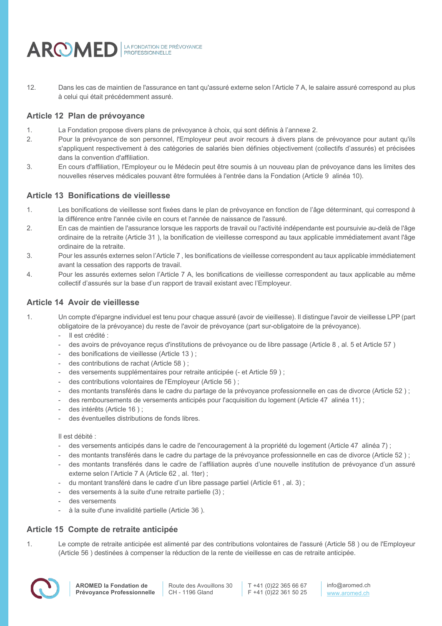

12. Dans les cas de maintien de l'assurance en tant qu'assuré externe selon l'Article 7 A, le salaire assuré correspond au plus à celui qui était précédemment assuré.

# **Article 12 Plan de prévoyance**

- 1. La Fondation propose divers plans de prévoyance à choix, qui sont définis à l'annexe 2.
- 2. Pour la prévoyance de son personnel, l'Employeur peut avoir recours à divers plans de prévoyance pour autant qu'ils s'appliquent respectivement à des catégories de salariés bien définies objectivement (collectifs d'assurés) et précisées dans la convention d'affiliation.
- 3. En cours d'affiliation, l'Employeur ou le Médecin peut être soumis à un nouveau plan de prévoyance dans les limites des nouvelles réserves médicales pouvant être formulées à l'entrée dans la Fondation (Article 9 alinéa 10).

# **Article 13 Bonifications de vieillesse**

- 1. Les bonifications de vieillesse sont fixées dans le plan de prévoyance en fonction de l'âge déterminant, qui correspond à la différence entre l'année civile en cours et l'année de naissance de l'assuré.
- 2. En cas de maintien de l'assurance lorsque les rapports de travail ou l'activité indépendante est poursuivie au-delà de l'âge ordinaire de la retraite (Article 31 ), la bonification de vieillesse correspond au taux applicable immédiatement avant l'âge ordinaire de la retraite.
- 3. Pour les assurés externes selon l'Article 7 , les bonifications de vieillesse correspondent au taux applicable immédiatement avant la cessation des rapports de travail.
- 4. Pour les assurés externes selon l'Article 7 A, les bonifications de vieillesse correspondent au taux applicable au même collectif d'assurés sur la base d'un rapport de travail existant avec l'Employeur.

# **Article 14 Avoir de vieillesse**

- 1. Un compte d'épargne individuel est tenu pour chaque assuré (avoir de vieillesse). Il distingue l'avoir de vieillesse LPP (part obligatoire de la prévoyance) du reste de l'avoir de prévoyance (part sur-obligatoire de la prévoyance).
	- Il est crédité :
	- des avoirs de prévoyance reçus d'institutions de prévoyance ou de libre passage (Article 8, al. 5 et Article 57)
	- des bonifications de vieillesse (Article 13);
	- des contributions de rachat (Article 58 ) ;
	- des versements supplémentaires pour retraite anticipée (- et Article 59) ;
	- des contributions volontaires de l'Employeur (Article 56) ;
	- des montants transférés dans le cadre du partage de la prévoyance professionnelle en cas de divorce (Article 52);
	- des remboursements de versements anticipés pour l'acquisition du logement (Article 47 alinéa 11) ;
	- des intérêts (Article 16) :
	- des éventuelles distributions de fonds libres.

Il est débité :

- des versements anticipés dans le cadre de l'encouragement à la propriété du logement (Article 47 alinéa 7) ;
- des montants transférés dans le cadre du partage de la prévoyance professionnelle en cas de divorce (Article 52);
- des montants transférés dans le cadre de l'affiliation auprès d'une nouvelle institution de prévoyance d'un assuré externe selon l'Article 7 A (Article 62 , al. 1ter) ;
- du montant transféré dans le cadre d'un libre passage partiel (Article 61, al. 3);
- des versements à la suite d'une retraite partielle (3) ;
- des versements
- à la suite d'une invalidité partielle (Article 36).

# **Article 15 Compte de retraite anticipée**

1. Le compte de retraite anticipée est alimenté par des contributions volontaires de l'assuré (Article 58 ) ou de l'Employeur (Article 56 ) destinées à compenser la réduction de la rente de vieillesse en cas de retraite anticipée.

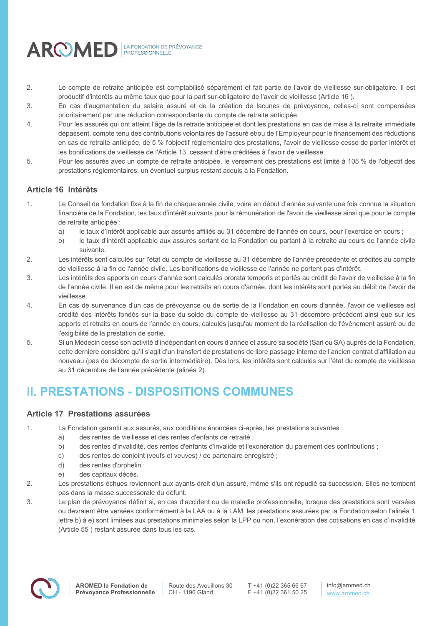

- 2. Le compte de retraite anticipée est comptabilisé séparément et fait partie de l'avoir de vieillesse sur-obligatoire. Il est productif d'intérêts au même taux que pour la part sur-obligatoire de l'avoir de vieillesse (Article 16 ).
- 3. En cas d'augmentation du salaire assuré et de la création de lacunes de prévoyance, celles-ci sont compensées prioritairement par une réduction correspondante du compte de retraite anticipée.
- 4. Pour les assurés qui ont atteint l'âge de la retraite anticipée et dont les prestations en cas de mise à la retraite immédiate dépassent, compte tenu des contributions volontaires de l'assuré et/ou de l'Employeur pour le financement des réductions en cas de retraite anticipée, de 5 % l'objectif réglementaire des prestations, l'avoir de vieillesse cesse de porter intérêt et les bonifications de vieillesse de l'Article 13 cessent d'être créditées à l'avoir de vieillesse.
- 5. Pour les assurés avec un compte de retraite anticipée, le versement des prestations est limité à 105 % de l'objectif des prestations réglementaires, un éventuel surplus restant acquis à la Fondation.

# **Article 16 Intérêts**

- 1. Le Conseil de fondation fixe à la fin de chaque année civile, voire en début d'année suivante une fois connue la situation financière de la Fondation, les taux d'intérêt suivants pour la rémunération de l'avoir de vieillesse ainsi que pour le compte de retraite anticipée :
	- a) le taux d'intérêt applicable aux assurés affiliés au 31 décembre de l'année en cours, pour l'exercice en cours ;
	- b) le taux d'intérêt applicable aux assurés sortant de la Fondation ou partant à la retraite au cours de l'année civile suivante.
- 2. Les intérêts sont calculés sur l'état du compte de vieillesse au 31 décembre de l'année précédente et crédités au compte de vieillesse à la fin de l'année civile. Les bonifications de vieillesse de l'année ne portent pas d'intérêt.
- 3. Les intérêts des apports en cours d'année sont calculés prorata temporis et portés au crédit de l'avoir de vieillesse à la fin de l'année civile. Il en est de même pour les retraits en cours d'année, dont les intérêts sont portés au débit de l'avoir de vieillesse.
- 4. En cas de survenance d'un cas de prévoyance ou de sortie de la Fondation en cours d'année, l'avoir de vieillesse est crédité des intérêts fondés sur la base du solde du compte de vieillesse au 31 décembre précédent ainsi que sur les apports et retraits en cours de l'année en cours, calculés jusqu'au moment de la réalisation de l'événement assuré ou de l'exigibilité de la prestation de sortie.
- 5. Si un Médecin cesse son activité d'indépendant en cours d'année et assure sa société (Sàrl ou SA) auprès de la Fondation, cette dernière considère qu'il s'agit d'un transfert de prestations de libre passage interne de l'ancien contrat d'affiliation au nouveau (pas de décompte de sortie intermédiaire). Dès lors, les intérêts sont calculés sur l'état du compte de vieillesse au 31 décembre de l'année précédente (alinéa 2).

# **II. PRESTATIONS - DISPOSITIONS COMMUNES**

# **Article 17 Prestations assurées**

- 1. La Fondation garantit aux assurés, aux conditions énoncées ci-après, les prestations suivantes :
	- a) des rentes de vieillesse et des rentes d'enfants de retraité ;
	- b) des rentes d'invalidité, des rentes d'enfants d'invalide et l'exonération du paiement des contributions ;
	- c) des rentes de conjoint (veufs et veuves) / de partenaire enregistré ;
	- d) des rentes d'orphelin ;
	- e) des capitaux décès.
- 2. Les prestations échues reviennent aux ayants droit d'un assuré, même s'ils ont répudié sa succession. Elles ne tombent pas dans la masse successorale du défunt.
- 3. Le plan de prévoyance définit si, en cas d'accident ou de maladie professionnelle, lorsque des prestations sont versées ou devraient être versées conformément à la LAA ou à la LAM, les prestations assurées par la Fondation selon l'alinéa 1 lettre b) à e) sont limitées aux prestations minimales selon la LPP ou non, l'exonération des cotisations en cas d'invalidité (Article 55 ) restant assurée dans tous les cas.

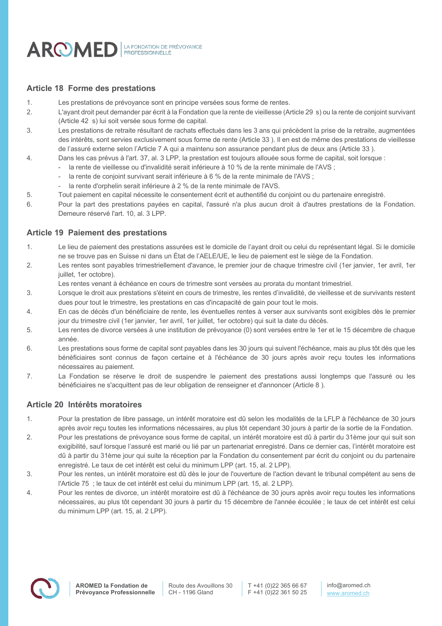

# **Article 18 Forme des prestations**

- 1. Les prestations de prévoyance sont en principe versées sous forme de rentes.
- 2. L'ayant droit peut demander par écrit à la Fondation que la rente de vieillesse (Article 29 s) ou la rente de conjoint survivant (Article 42 s) lui soit versée sous forme de capital.
- 3. Les prestations de retraite résultant de rachats effectués dans les 3 ans qui précèdent la prise de la retraite, augmentées des intérêts, sont servies exclusivement sous forme de rente (Article 33 ). Il en est de même des prestations de vieillesse de l'assuré externe selon l'Article 7 A qui a maintenu son assurance pendant plus de deux ans (Article 33 ).
- 4. Dans les cas prévus à l'art. 37, al. 3 LPP, la prestation est toujours allouée sous forme de capital, soit lorsque :
	- la rente de vieillesse ou d'invalidité serait inférieure à 10 % de la rente minimale de l'AVS ;
	- la rente de conjoint survivant serait inférieure à 6 % de la rente minimale de l'AVS ;
	- la rente d'orphelin serait inférieure à 2 % de la rente minimale de l'AVS.
- 5. Tout paiement en capital nécessite le consentement écrit et authentifié du conjoint ou du partenaire enregistré.
- 6. Pour la part des prestations payées en capital, l'assuré n'a plus aucun droit à d'autres prestations de la Fondation. Demeure réservé l'art. 10, al. 3 LPP.

# **Article 19 Paiement des prestations**

- 1. Le lieu de paiement des prestations assurées est le domicile de l'ayant droit ou celui du représentant légal. Si le domicile ne se trouve pas en Suisse ni dans un État de l'AELE/UE, le lieu de paiement est le siège de la Fondation.
- 2. Les rentes sont payables trimestriellement d'avance, le premier jour de chaque trimestre civil (1er janvier, 1er avril, 1er juillet, 1er octobre).
	- Les rentes venant à échéance en cours de trimestre sont versées au prorata du montant trimestriel.
- 3. Lorsque le droit aux prestations s'éteint en cours de trimestre, les rentes d'invalidité, de vieillesse et de survivants restent dues pour tout le trimestre, les prestations en cas d'incapacité de gain pour tout le mois.
- 4. En cas de décès d'un bénéficiaire de rente, les éventuelles rentes à verser aux survivants sont exigibles dès le premier jour du trimestre civil (1er janvier, 1er avril, 1er juillet, 1er octobre) qui suit la date du décès.
- 5. Les rentes de divorce versées à une institution de prévoyance (0) sont versées entre le 1er et le 15 décembre de chaque année.
- 6. Les prestations sous forme de capital sont payables dans les 30 jours qui suivent l'échéance, mais au plus tôt dès que les bénéficiaires sont connus de façon certaine et à l'échéance de 30 jours après avoir reçu toutes les informations nécessaires au paiement.
- 7. La Fondation se réserve le droit de suspendre le paiement des prestations aussi longtemps que l'assuré ou les bénéficiaires ne s'acquittent pas de leur obligation de renseigner et d'annoncer (Article 8 ).

# **Article 20 Intérêts moratoires**

- 1. Pour la prestation de libre passage, un intérêt moratoire est dû selon les modalités de la LFLP à l'échéance de 30 jours après avoir reçu toutes les informations nécessaires, au plus tôt cependant 30 jours à partir de la sortie de la Fondation.
- 2. Pour les prestations de prévoyance sous forme de capital, un intérêt moratoire est dû à partir du 31ème jour qui suit son exigibilité, sauf lorsque l'assuré est marié ou lié par un partenariat enregistré. Dans ce dernier cas, l'intérêt moratoire est dû à partir du 31ème jour qui suite la réception par la Fondation du consentement par écrit du conjoint ou du partenaire enregistré. Le taux de cet intérêt est celui du minimum LPP (art. 15, al. 2 LPP).
- 3. Pour les rentes, un intérêt moratoire est dû dès le jour de l'ouverture de l'action devant le tribunal compétent au sens de l'Article 75 ; le taux de cet intérêt est celui du minimum LPP (art. 15, al. 2 LPP).
- 4. Pour les rentes de divorce, un intérêt moratoire est dû à l'échéance de 30 jours après avoir reçu toutes les informations nécessaires, au plus tôt cependant 30 jours à partir du 15 décembre de l'année écoulée ; le taux de cet intérêt est celui du minimum LPP (art. 15, al. 2 LPP).

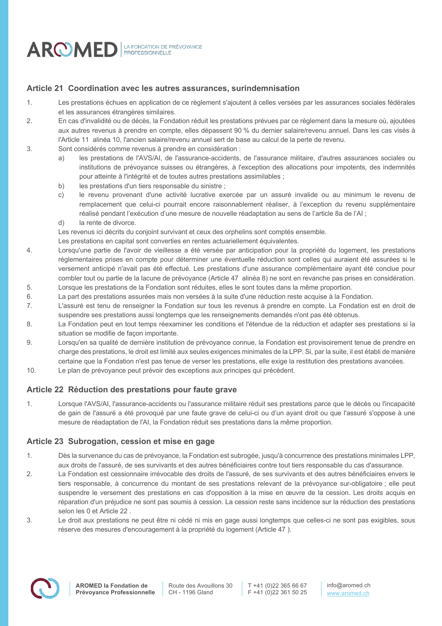

# **Article 21 Coordination avec les autres assurances, surindemnisation**

- 1. Les prestations échues en application de ce règlement s'ajoutent à celles versées par les assurances sociales fédérales et les assurances étrangères similaires.
- 2. En cas d'invalidité ou de décès, la Fondation réduit les prestations prévues par ce règlement dans la mesure où, ajoutées aux autres revenus à prendre en compte, elles dépassent 90 % du dernier salaire/revenu annuel. Dans les cas visés à l'Article 11 alinéa 10, l'ancien salaire/revenu annuel sert de base au calcul de la perte de revenu.
- 3. Sont considérés comme revenus à prendre en considération :
	- a) les prestations de l'AVS/AI, de l'assurance-accidents, de l'assurance militaire, d'autres assurances sociales ou institutions de prévoyance suisses ou étrangères, à l'exception des allocations pour impotents, des indemnités pour atteinte à l'intégrité et de toutes autres prestations assimilables ;
	- b) les prestations d'un tiers responsable du sinistre :
	- c) le revenu provenant d'une activité lucrative exercée par un assuré invalide ou au minimum le revenu de remplacement que celui-ci pourrait encore raisonnablement réaliser, à l'exception du revenu supplémentaire réalisé pendant l'exécution d'une mesure de nouvelle réadaptation au sens de l'article 8a de l'AI ;
	- d) la rente de divorce.
	- Les revenus ici décrits du conjoint survivant et ceux des orphelins sont comptés ensemble.

Les prestations en capital sont converties en rentes actuariellement équivalentes.

- 4. Lorsqu'une partie de l'avoir de vieillesse a été versée par anticipation pour la propriété du logement, les prestations réglementaires prises en compte pour déterminer une éventuelle réduction sont celles qui auraient été assurées si le versement anticipé n'avait pas été effectué. Les prestations d'une assurance complémentaire ayant été conclue pour combler tout ou partie de la lacune de prévoyance (Article 47 alinéa 8) ne sont en revanche pas prises en considération.
- 5. Lorsque les prestations de la Fondation sont réduites, elles le sont toutes dans la même proportion. 6. La part des prestations assurées mais non versées à la suite d'une réduction reste acquise à la Fondation.
- 7. L'assuré est tenu de renseigner la Fondation sur tous les revenus à prendre en compte. La Fondation est en droit de suspendre ses prestations aussi longtemps que les renseignements demandés n'ont pas été obtenus.
- 8. La Fondation peut en tout temps réexaminer les conditions et l'étendue de la réduction et adapter ses prestations si la situation se modifie de façon importante.
- 9. Lorsqu'en sa qualité de dernière institution de prévoyance connue, la Fondation est provisoirement tenue de prendre en charge des prestations, le droit est limité aux seules exigences minimales de la LPP. Si, par la suite, il est établi de manière certaine que la Fondation n'est pas tenue de verser les prestations, elle exige la restitution des prestations avancées.
- 10. Le plan de prévoyance peut prévoir des exceptions aux principes qui précèdent.

# **Article 22 Réduction des prestations pour faute grave**

1. Lorsque l'AVS/AI, l'assurance-accidents ou l'assurance militaire réduit ses prestations parce que le décès ou l'incapacité de gain de l'assuré a été provoqué par une faute grave de celui-ci ou d'un ayant droit ou que l'assuré s'oppose à une mesure de réadaptation de l'AI, la Fondation réduit ses prestations dans la même proportion.

# **Article 23 Subrogation, cession et mise en gage**

- 1. Dès la survenance du cas de prévoyance, la Fondation est subrogée, jusqu'à concurrence des prestations minimales LPP, aux droits de l'assuré, de ses survivants et des autres bénéficiaires contre tout tiers responsable du cas d'assurance.
- 2. La Fondation est cessionnaire irrévocable des droits de l'assuré, de ses survivants et des autres bénéficiaires envers le tiers responsable, à concurrence du montant de ses prestations relevant de la prévoyance sur-obligatoire ; elle peut suspendre le versement des prestations en cas d'opposition à la mise en œuvre de la cession. Les droits acquis en réparation d'un préjudice ne sont pas soumis à cession. La cession reste sans incidence sur la réduction des prestations selon les 0 et Article 22 .
- 3. Le droit aux prestations ne peut être ni cédé ni mis en gage aussi longtemps que celles-ci ne sont pas exigibles, sous réserve des mesures d'encouragement à la propriété du logement (Article 47 ).

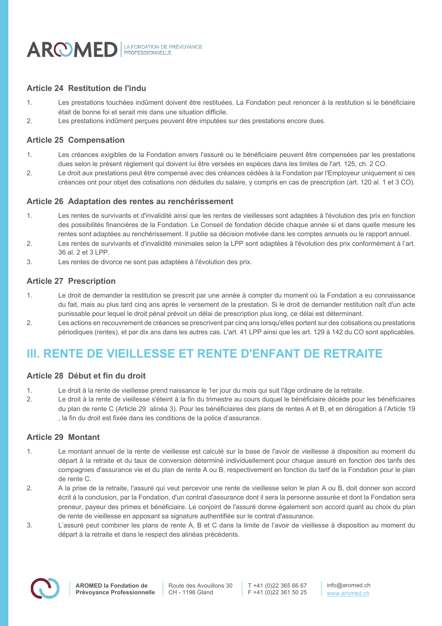

# **Article 24 Restitution de l'indu**

- 1. Les prestations touchées indûment doivent être restituées. La Fondation peut renoncer à la restitution si le bénéficiaire était de bonne foi et serait mis dans une situation difficile.
- 2. Les prestations indûment perçues peuvent être imputées sur des prestations encore dues.

# **Article 25 Compensation**

- 1. Les créances exigibles de la Fondation envers l'assuré ou le bénéficiaire peuvent être compensées par les prestations dues selon le présent règlement qui doivent lui être versées en espèces dans les limites de l'art. 125, ch. 2 CO.
- 2. Le droit aux prestations peut être compensé avec des créances cédées à la Fondation par l'Employeur uniquement si ces créances ont pour objet des cotisations non déduites du salaire, y compris en cas de prescription (art. 120 al. 1 et 3 CO).

### **Article 26 Adaptation des rentes au renchérissement**

- 1. Les rentes de survivants et d'invalidité ainsi que les rentes de vieillesses sont adaptées à l'évolution des prix en fonction des possibilités financières de la Fondation. Le Conseil de fondation décide chaque année si et dans quelle mesure les rentes sont adaptées au renchérissement. Il publie sa décision motivée dans les comptes annuels ou le rapport annuel.
- 2. Les rentes de survivants et d'invalidité minimales selon la LPP sont adaptées à l'évolution des prix conformément à l'art. 36 al. 2 et 3 LPP.
- 3. Les rentes de divorce ne sont pas adaptées à l'évolution des prix.

# **Article 27 Prescription**

- 1. Le droit de demander la restitution se prescrit par une année à compter du moment où la Fondation a eu connaissance du fait, mais au plus tard cinq ans après le versement de la prestation. Si le droit de demander restitution naît d'un acte punissable pour lequel le droit pénal prévoit un délai de prescription plus long, ce délai est déterminant.
- 2. Les actions en recouvrement de créances se prescrivent par cinq ans lorsqu'elles portent sur des cotisations ou prestations périodiques (rentes), et par dix ans dans les autres cas. L'art. 41 LPP ainsi que les art. 129 à 142 du CO sont applicables.

# **III. RENTE DE VIEILLESSE ET RENTE D'ENFANT DE RETRAITE**

# **Article 28 Début et fin du droit**

- 1. Le droit à la rente de vieillesse prend naissance le 1er jour du mois qui suit l'âge ordinaire de la retraite.
- 2. Le droit à la rente de vieillesse s'éteint à la fin du trimestre au cours duquel le bénéficiaire décède pour les bénéficiaires du plan de rente C (Article 29 alinéa 3). Pour les bénéficiaires des plans de rentes A et B, et en dérogation à l'Article 19 , la fin du droit est fixée dans les conditions de la police d'assurance.

# **Article 29 Montant**

- 1. Le montant annuel de la rente de vieillesse est calculé sur la base de l'avoir de vieillesse à disposition au moment du départ à la retraite et du taux de conversion déterminé individuellement pour chaque assuré en fonction des tarifs des compagnies d'assurance vie et du plan de rente A ou B, respectivement en fonction du tarif de la Fondation pour le plan de rente C.
- 2. A la prise de la retraite, l'assuré qui veut percevoir une rente de vieillesse selon le plan A ou B, doit donner son accord écrit à la conclusion, par la Fondation, d'un contrat d'assurance dont il sera la personne assurée et dont la Fondation sera preneur, payeur des primes et bénéficiaire. Le conjoint de l'assuré donne également son accord quant au choix du plan de rente de vieillesse en apposant sa signature authentifiée sur le contrat d'assurance.
- 3. L'assuré peut combiner les plans de rente A, B et C dans la limite de l'avoir de vieillesse à disposition au moment du départ à la retraite et dans le respect des alinéas précédents.



Route des Avouillons 30 CH - 1196 Gland

T +41 (0)22 365 66 67 F +41 (0)22 361 50 25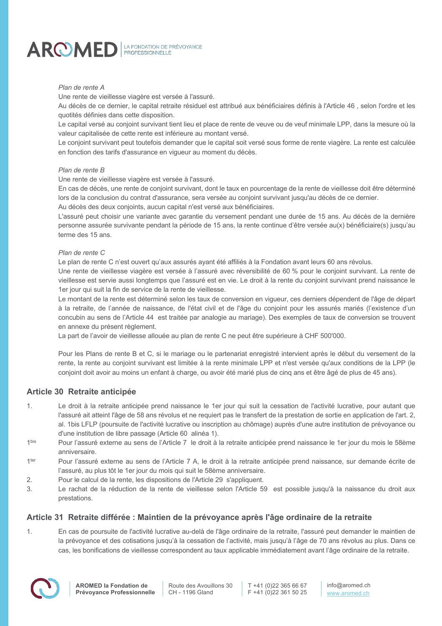

#### *Plan de rente A*

Une rente de vieillesse viagère est versée à l'assuré.

Au décès de ce dernier, le capital retraite résiduel est attribué aux bénéficiaires définis à l'Article 46 , selon l'ordre et les quotités définies dans cette disposition.

Le capital versé au conjoint survivant tient lieu et place de rente de veuve ou de veuf minimale LPP, dans la mesure où la valeur capitalisée de cette rente est inférieure au montant versé.

Le conjoint survivant peut toutefois demander que le capital soit versé sous forme de rente viagère. La rente est calculée en fonction des tarifs d'assurance en vigueur au moment du décès.

#### *Plan de rente B*

Une rente de vieillesse viagère est versée à l'assuré.

En cas de décès, une rente de conjoint survivant, dont le taux en pourcentage de la rente de vieillesse doit être déterminé lors de la conclusion du contrat d'assurance, sera versée au conjoint survivant jusqu'au décès de ce dernier.

Au décès des deux conjoints, aucun capital n'est versé aux bénéficiaires.

L'assuré peut choisir une variante avec garantie du versement pendant une durée de 15 ans. Au décès de la dernière personne assurée survivante pendant la période de 15 ans, la rente continue d'être versée au(x) bénéficiaire(s) jusqu'au terme des 15 ans.

#### *Plan de rente C*

Le plan de rente C n'est ouvert qu'aux assurés ayant été affiliés à la Fondation avant leurs 60 ans révolus.

Une rente de vieillesse viagère est versée à l'assuré avec réversibilité de 60 % pour le conjoint survivant. La rente de vieillesse est servie aussi longtemps que l'assuré est en vie. Le droit à la rente du conjoint survivant prend naissance le 1er jour qui suit la fin de service de la rente de vieillesse.

Le montant de la rente est déterminé selon les taux de conversion en vigueur, ces derniers dépendent de l'âge de départ à la retraite, de l'année de naissance, de l'état civil et de l'âge du conjoint pour les assurés mariés (l'existence d'un concubin au sens de l'Article 44 est traitée par analogie au mariage). Des exemples de taux de conversion se trouvent en annexe du présent règlement.

La part de l'avoir de vieillesse allouée au plan de rente C ne peut être supérieure à CHF 500'000.

Pour les Plans de rente B et C, si le mariage ou le partenariat enregistré intervient après le début du versement de la rente, la rente au conjoint survivant est limitée à la rente minimale LPP et n'est versée qu'aux conditions de la LPP (le conjoint doit avoir au moins un enfant à charge, ou avoir été marié plus de cinq ans et être âgé de plus de 45 ans).

# **Article 30 Retraite anticipée**

- 1. Le droit à la retraite anticipée prend naissance le 1er jour qui suit la cessation de l'activité lucrative, pour autant que l'assuré ait atteint l'âge de 58 ans révolus et ne requiert pas le transfert de la prestation de sortie en application de l'art. 2, al. 1bis LFLP (poursuite de l'activité lucrative ou inscription au chômage) auprès d'une autre institution de prévoyance ou d'une institution de libre passage (Article 60 alinéa 1).
- 1bis Pour l'assuré externe au sens de l'Article 7 le droit à la retraite anticipée prend naissance le 1er jour du mois le 58ème anniversaire.
- 1<sup>ter</sup> Pour l'assuré externe au sens de l'Article 7 A, le droit à la retraite anticipée prend naissance, sur demande écrite de l'assuré, au plus tôt le 1er jour du mois qui suit le 58ème anniversaire.
- 2. Pour le calcul de la rente, les dispositions de l'Article 29 s'appliquent.
- 3. Le rachat de la réduction de la rente de vieillesse selon l'Article 59 est possible jusqu'à la naissance du droit aux prestations.

# **Article 31 Retraite différée : Maintien de la prévoyance après l'âge ordinaire de la retraite**

1. En cas de poursuite de l'activité lucrative au-delà de l'âge ordinaire de la retraite, l'assuré peut demander le maintien de la prévoyance et des cotisations jusqu'à la cessation de l'activité, mais jusqu'à l'âge de 70 ans révolus au plus. Dans ce cas, les bonifications de vieillesse correspondent au taux applicable immédiatement avant l'âge ordinaire de la retraite.

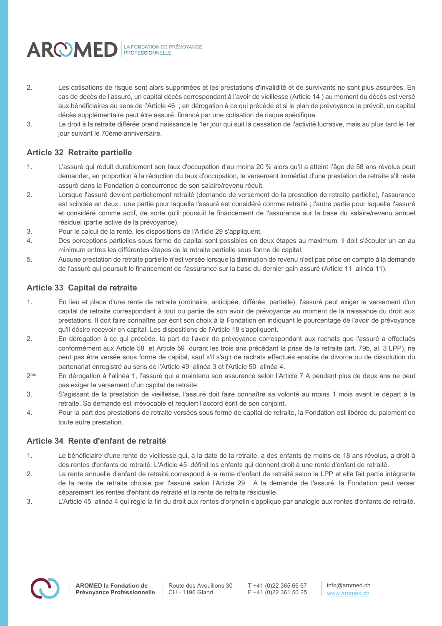

- 2. Les cotisations de risque sont alors supprimées et les prestations d'invalidité et de survivants ne sont plus assurées. En cas de décès de l'assuré, un capital décès correspondant à l'avoir de vieillesse (Article 14 ) au moment du décès est versé aux bénéficiaires au sens de l'Article 46 ; en dérogation à ce qui précède et si le plan de prévoyance le prévoit, un capital décès supplémentaire peut être assuré, financé par une cotisation de risque spécifique.
- 3. Le droit à la retraite différée prend naissance le 1er jour qui suit la cessation de l'activité lucrative, mais au plus tard le 1er jour suivant le 70ème anniversaire.

# **Article 32 Retraite partielle**

- 1. L'assuré qui réduit durablement son taux d'occupation d'au moins 20 % alors qu'il a atteint l'âge de 58 ans révolus peut demander, en proportion à la réduction du taux d'occupation, le versement immédiat d'une prestation de retraite s'il reste assuré dans la Fondation à concurrence de son salaire/revenu réduit.
- 2. Lorsque l'assuré devient partiellement retraité (demande de versement de la prestation de retraite partielle), l'assurance est scindée en deux : une partie pour laquelle l'assuré est considéré comme retraité ; l'autre partie pour laquelle l'assuré et considéré comme actif, de sorte qu'il poursuit le financement de l'assurance sur la base du salaire/revenu annuel résiduel (partie active de la prévoyance).
- 3. Pour le calcul de la rente, les dispositions de l'Article 29 s'appliquent.
- 4. Des perceptions partielles sous forme de capital sont possibles en deux étapes au maximum. Il doit s'écouler un an au minimum entres les différentes étapes de la retraite partielle sous forme de capital.
- 5. Aucune prestation de retraite partielle n'est versée lorsque la diminution de revenu n'est pas prise en compte à la demande de l'assuré qui poursuit le financement de l'assurance sur la base du dernier gain assuré (Article 11 alinéa 11).

# **Article 33 Capital de retraite**

- 1. En lieu et place d'une rente de retraite (ordinaire, anticipée, différée, partielle), l'assuré peut exiger le versement d'un capital de retraite correspondant à tout ou partie de son avoir de prévoyance au moment de la naissance du droit aux prestations. Il doit faire connaître par écrit son choix à la Fondation en indiquant le pourcentage de l'avoir de prévoyance qu'il désire recevoir en capital. Les dispositions de l'Article 18 s'appliquent.
- 2. En dérogation à ce qui précède, la part de l'avoir de prévoyance correspondant aux rachats que l'assuré a effectués conformément aux Article 58 et Article 59 durant les trois ans précédant la prise de la retraite (art. 79b, al. 3 LPP), ne peut pas être versée sous forme de capital, sauf s'il s'agit de rachats effectués ensuite de divorce ou de dissolution du partenariat enregistré au sens de l'Article 49 alinéa 3 et l'Article 50 alinéa 4.
- 2<sup>bis</sup> En dérogation à l'alinéa 1, l'assuré qui a maintenu son assurance selon l'Article 7 A pendant plus de deux ans ne peut pas exiger le versement d'un capital de retraite.
- 3. S'agissant de la prestation de vieillesse, l'assuré doit faire connaître sa volonté au moins 1 mois avant le départ à la retraite. Sa demande est irrévocable et requiert l'accord écrit de son conjoint.
- 4. Pour la part des prestations de retraite versées sous forme de capital de retraite, la Fondation est libérée du paiement de toute autre prestation.

# **Article 34 Rente d'enfant de retraité**

- 1. Le bénéficiaire d'une rente de vieillesse qui, à la date de la retraite, a des enfants de moins de 18 ans révolus, a droit à des rentes d'enfants de retraité. L'Article 45 définit les enfants qui donnent droit à une rente d'enfant de retraité.
- 2. La rente annuelle d'enfant de retraité correspond à la rente d'enfant de retraité selon la LPP et elle fait partie intégrante de la rente de retraite choisie par l'assuré selon l'Article 29 . A la demande de l'assuré, la Fondation peut verser séparément les rentes d'enfant de retraité et la rente de retraite résiduelle.
- 3. L'Article 45 alinéa 4 qui règle la fin du droit aux rentes d'orphelin s'applique par analogie aux rentes d'enfants de retraité.

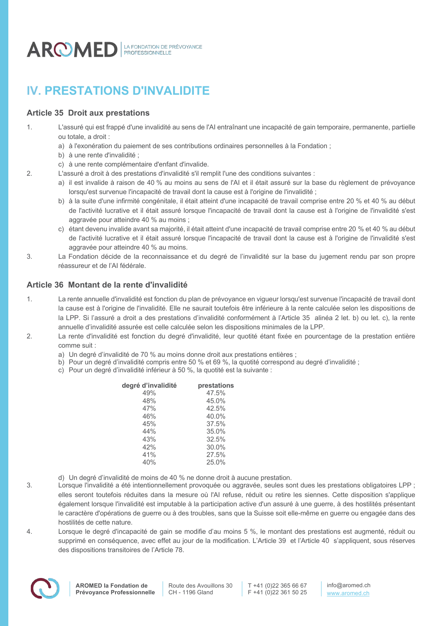

# **IV. PRESTATIONS D'INVALIDITE**

# **Article 35 Droit aux prestations**

- 1. L'assuré qui est frappé d'une invalidité au sens de l'AI entraînant une incapacité de gain temporaire, permanente, partielle ou totale, a droit :
	- a) à l'exonération du paiement de ses contributions ordinaires personnelles à la Fondation ;
	- b) à une rente d'invalidité ;
	- c) à une rente complémentaire d'enfant d'invalide.
- 2. L'assuré a droit à des prestations d'invalidité s'il remplit l'une des conditions suivantes :
	- a) il est invalide à raison de 40 % au moins au sens de l'AI et il était assuré sur la base du règlement de prévoyance lorsqu'est survenue l'incapacité de travail dont la cause est à l'origine de l'invalidité ;
	- b) à la suite d'une infirmité congénitale, il était atteint d'une incapacité de travail comprise entre 20 % et 40 % au début de l'activité lucrative et il était assuré lorsque l'incapacité de travail dont la cause est à l'origine de l'invalidité s'est aggravée pour atteindre 40 % au moins ;
	- c) étant devenu invalide avant sa majorité, il était atteint d'une incapacité de travail comprise entre 20 % et 40 % au début de l'activité lucrative et il était assuré lorsque l'incapacité de travail dont la cause est à l'origine de l'invalidité s'est aggravée pour atteindre 40 % au moins.
- 3. La Fondation décide de la reconnaissance et du degré de l'invalidité sur la base du jugement rendu par son propre réassureur et de l'AI fédérale.

# **Article 36 Montant de la rente d'invalidité**

- 1. La rente annuelle d'invalidité est fonction du plan de prévoyance en vigueur lorsqu'est survenue l'incapacité de travail dont la cause est à l'origine de l'invalidité. Elle ne saurait toutefois être inférieure à la rente calculée selon les dispositions de la LPP. Si l'assuré a droit a des prestations d'invalidité conformément à l'Article 35 alinéa 2 let. b) ou let. c), la rente annuelle d'invalidité assurée est celle calculée selon les dispositions minimales de la LPP.
- 2. La rente d'invalidité est fonction du degré d'invalidité, leur quotité étant fixée en pourcentage de la prestation entière comme suit :
	- a) Un degré d'invalidité de 70 % au moins donne droit aux prestations entières ;
	- b) Pour un degré d'invalidité compris entre 50 % et 69 %, la quotité correspond au degré d'invalidité ;
	- c) Pour un degré d'invalidité inférieur à 50 %, la quotité est la suivante :

| degré d'invalidité | prestations |
|--------------------|-------------|
| 49%                | 47.5%       |
| 48%                | 45.0%       |
| 47%                | 42.5%       |
| 46%                | 40.0%       |
| 45%                | 37.5%       |
| 44%                | 35.0%       |
| 43%                | 32.5%       |
| 42%                | 30.0%       |
| 41%                | 27.5%       |
| 40%                | 25.0%       |
|                    |             |

d) Un degré d'invalidité de moins de 40 % ne donne droit à aucune prestation.

3. Lorsque l'invalidité a été intentionnellement provoquée ou aggravée, seules sont dues les prestations obligatoires LPP ; elles seront toutefois réduites dans la mesure où l'AI refuse, réduit ou retire les siennes. Cette disposition s'applique également lorsque l'invalidité est imputable à la participation active d'un assuré à une guerre, à des hostilités présentant le caractère d'opérations de guerre ou à des troubles, sans que la Suisse soit elle-même en guerre ou engagée dans des hostilités de cette nature.

4. Lorsque le degré d'incapacité de gain se modifie d'au moins 5 %, le montant des prestations est augmenté, réduit ou supprimé en conséquence, avec effet au jour de la modification. L'Article 39 et l'Article 40 s'appliquent, sous réserves des dispositions transitoires de l'Article 78.

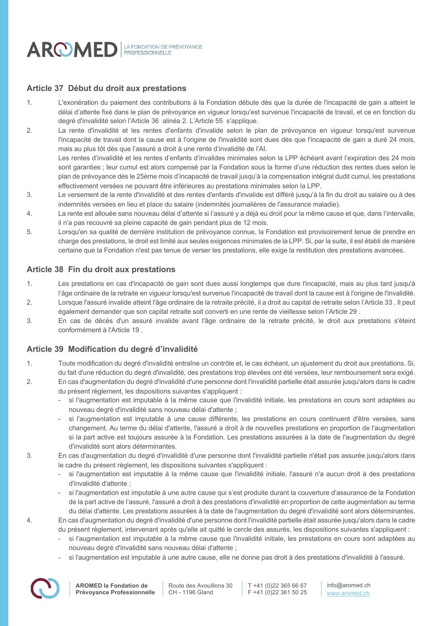

### **Article 37 Début du droit aux prestations**

- 1. L'exonération du paiement des contributions à la Fondation débute dès que la durée de l'incapacité de gain a atteint le délai d'attente fixé dans le plan de prévoyance en vigueur lorsqu'est survenue l'incapacité de travail, et ce en fonction du degré d'invalidité selon l'Article 36 alinéa 2. L'Article 55 s'applique.
- 2. La rente d'invalidité et les rentes d'enfants d'invalide selon le plan de prévoyance en vigueur lorsqu'est survenue l'incapacité de travail dont la cause est à l'origine de l'invalidité sont dues dès que l'incapacité de gain a duré 24 mois, mais au plus tôt dès que l'assuré a droit à une rente d'invalidité de l'AI. Les rentes d'invalidité et les rentes d'enfants d'invalides minimales selon la LPP échéant avant l'expiration des 24 mois

sont garanties ; leur cumul est alors compensé par la Fondation sous la forme d'une réduction des rentes dues selon le plan de prévoyance dès le 25ème mois d'incapacité de travail jusqu'à la compensation intégral dudit cumul, les prestations effectivement versées ne pouvant être inférieures au prestations minimales selon la LPP.

- 3. Le versement de la rente d'invalidité et des rentes d'enfants d'invalide est différé jusqu'à la fin du droit au salaire ou à des indemnités versées en lieu et place du salaire (indemnités journalières de l'assurance maladie).
- 4. La rente est allouée sans nouveau délai d'attente si l'assuré y a déjà eu droit pour la même cause et que, dans l'intervalle, il n'a pas recouvré sa pleine capacité de gain pendant plus de 12 mois.
- 5. Lorsqu'en sa qualité de dernière institution de prévoyance connue, la Fondation est provisoirement tenue de prendre en charge des prestations, le droit est limité aux seules exigences minimales de la LPP. Si, par la suite, il est établi de manière certaine que la Fondation n'est pas tenue de verser les prestations, elle exige la restitution des prestations avancées.

### **Article 38 Fin du droit aux prestations**

- 1. Les prestations en cas d'incapacité de gain sont dues aussi longtemps que dure l'incapacité, mais au plus tard jusqu'à l'âge ordinaire de la retraite en vigueur lorsqu'est survenue l'incapacité de travail dont la cause est à l'origine de l'invalidité.
- 2. Lorsque l'assuré invalide atteint l'âge ordinaire de la retraite précité, il a droit au capital de retraite selon l'Article 33 . Il peut également demander que son capital retraite soit converti en une rente de vieillesse selon l'Article 29 .
- 3. En cas de décès d'un assuré invalide avant l'âge ordinaire de la retraite précité, le droit aux prestations s'éteint conformément à l'Article 19 .

### **Article 39 Modification du degré d'invalidité**

- 1. Toute modification du degré d'invalidité entraîne un contrôle et, le cas échéant, un ajustement du droit aux prestations. Si, du fait d'une réduction du degré d'invalidité, des prestations trop élevées ont été versées, leur remboursement sera exigé.
- 2. En cas d'augmentation du degré d'invalidité d'une personne dont l'invalidité partielle était assurée jusqu'alors dans le cadre du présent règlement, les dispositions suivantes s'appliquent :
	- si l'augmentation est imputable à la même cause que l'invalidité initiale, les prestations en cours sont adaptées au nouveau degré d'invalidité sans nouveau délai d'attente ;
	- si l'augmentation est imputable à une cause différente, les prestations en cours continuent d'être versées, sans changement. Au terme du délai d'attente, l'assuré a droit à de nouvelles prestations en proportion de l'augmentation si la part active est toujours assurée à la Fondation. Les prestations assurées à la date de l'augmentation du degré d'invalidité sont alors déterminantes.
- 3. En cas d'augmentation du degré d'invalidité d'une personne dont l'invalidité partielle n'était pas assurée jusqu'alors dans le cadre du présent règlement, les dispositions suivantes s'appliquent :
	- si l'augmentation est imputable à la même cause que l'invalidité initiale, l'assuré n'a aucun droit à des prestations d'invalidité d'attente ;
	- si l'augmentation est imputable à une autre cause qui s'est produite durant la couverture d'assurance de la Fondation de la part active de l'assuré, l'assuré a droit à des prestations d'invalidité en proportion de cette augmentation au terme du délai d'attente. Les prestations assurées à la date de l'augmentation du degré d'invalidité sont alors déterminantes.
- 4. En cas d'augmentation du degré d'invalidité d'une personne dont l'invalidité partielle était assurée jusqu'alors dans le cadre du présent règlement, intervenant après qu'elle ait quitté le cercle des assurés, les dispositions suivantes s'appliquent :
	- si l'augmentation est imputable à la même cause que l'invalidité initiale, les prestations en cours sont adaptées au nouveau degré d'invalidité sans nouveau délai d'attente ;
	- si l'augmentation est imputable à une autre cause, elle ne donne pas droit à des prestations d'invalidité à l'assuré.



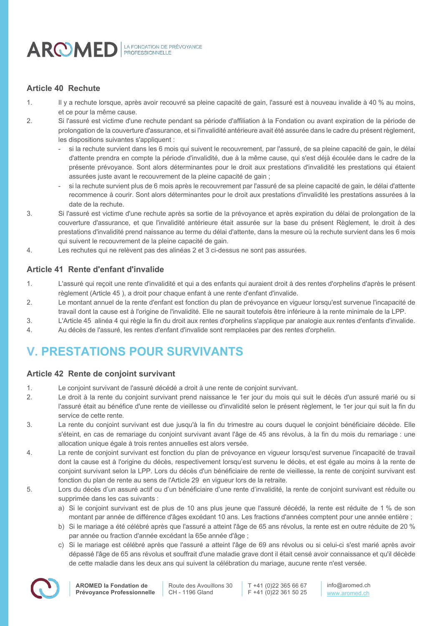

# **Article 40 Rechute**

- 1. Il y a rechute lorsque, après avoir recouvré sa pleine capacité de gain, l'assuré est à nouveau invalide à 40 % au moins, et ce pour la même cause.
- 2. Si l'assuré est victime d'une rechute pendant sa période d'affiliation à la Fondation ou avant expiration de la période de prolongation de la couverture d'assurance, et si l'invalidité antérieure avait été assurée dans le cadre du présent règlement, les dispositions suivantes s'appliquent :
	- si la rechute survient dans les 6 mois qui suivent le recouvrement, par l'assuré, de sa pleine capacité de gain, le délai d'attente prendra en compte la période d'invalidité, due à la même cause, qui s'est déjà écoulée dans le cadre de la présente prévoyance. Sont alors déterminantes pour le droit aux prestations d'invalidité les prestations qui étaient assurées juste avant le recouvrement de la pleine capacité de gain ;
	- si la rechute survient plus de 6 mois après le recouvrement par l'assuré de sa pleine capacité de gain, le délai d'attente recommence à courir. Sont alors déterminantes pour le droit aux prestations d'invalidité les prestations assurées à la date de la rechute.
- 3. Si l'assuré est victime d'une rechute après sa sortie de la prévoyance et après expiration du délai de prolongation de la couverture d'assurance, et que l'invalidité antérieure était assurée sur la base du présent Règlement, le droit à des prestations d'invalidité prend naissance au terme du délai d'attente, dans la mesure où la rechute survient dans les 6 mois qui suivent le recouvrement de la pleine capacité de gain.
- 4. Les rechutes qui ne relèvent pas des alinéas 2 et 3 ci-dessus ne sont pas assurées.

# **Article 41 Rente d'enfant d'invalide**

- 1. L'assuré qui reçoit une rente d'invalidité et qui a des enfants qui auraient droit à des rentes d'orphelins d'après le présent règlement (Article 45 ), a droit pour chaque enfant à une rente d'enfant d'invalide.
- 2. Le montant annuel de la rente d'enfant est fonction du plan de prévoyance en vigueur lorsqu'est survenue l'incapacité de travail dont la cause est à l'origine de l'invalidité. Elle ne saurait toutefois être inférieure à la rente minimale de la LPP.
- 3. L'Article 45 alinéa 4 qui règle la fin du droit aux rentes d'orphelins s'applique par analogie aux rentes d'enfants d'invalide.
- 4. Au décès de l'assuré, les rentes d'enfant d'invalide sont remplacées par des rentes d'orphelin.

# **V. PRESTATIONS POUR SURVIVANTS**

# **Article 42 Rente de conjoint survivant**

- 1. Le conjoint survivant de l'assuré décédé a droit à une rente de conjoint survivant.
- 2. Le droit à la rente du conjoint survivant prend naissance le 1er jour du mois qui suit le décès d'un assuré marié ou si l'assuré était au bénéfice d'une rente de vieillesse ou d'invalidité selon le présent règlement, le 1er jour qui suit la fin du service de cette rente.
- 3. La rente du conjoint survivant est due jusqu'à la fin du trimestre au cours duquel le conjoint bénéficiaire décède. Elle s'éteint, en cas de remariage du conjoint survivant avant l'âge de 45 ans révolus, à la fin du mois du remariage : une allocation unique égale à trois rentes annuelles est alors versée.
- 4. La rente de conjoint survivant est fonction du plan de prévoyance en vigueur lorsqu'est survenue l'incapacité de travail dont la cause est à l'origine du décès, respectivement lorsqu'est survenu le décès, et est égale au moins à la rente de conjoint survivant selon la LPP. Lors du décès d'un bénéficiaire de rente de vieillesse, la rente de conjoint survivant est fonction du plan de rente au sens de l'Article 29 en vigueur lors de la retraite.
- 5. Lors du décès d'un assuré actif ou d'un bénéficiaire d'une rente d'invalidité, la rente de conjoint survivant est réduite ou supprimée dans les cas suivants :
	- a) Si le conjoint survivant est de plus de 10 ans plus jeune que l'assuré décédé, la rente est réduite de 1 % de son montant par année de différence d'âges excédant 10 ans. Les fractions d'années comptent pour une année entière ;
	- b) Si le mariage a été célébré après que l'assuré a atteint l'âge de 65 ans révolus, la rente est en outre réduite de 20 % par année ou fraction d'année excédant la 65e année d'âge ;
	- c) Si le mariage est célébré après que l'assuré a atteint l'âge de 69 ans révolus ou si celui-ci s'est marié après avoir dépassé l'âge de 65 ans révolus et souffrait d'une maladie grave dont il était censé avoir connaissance et qu'il décède de cette maladie dans les deux ans qui suivent la célébration du mariage, aucune rente n'est versée.

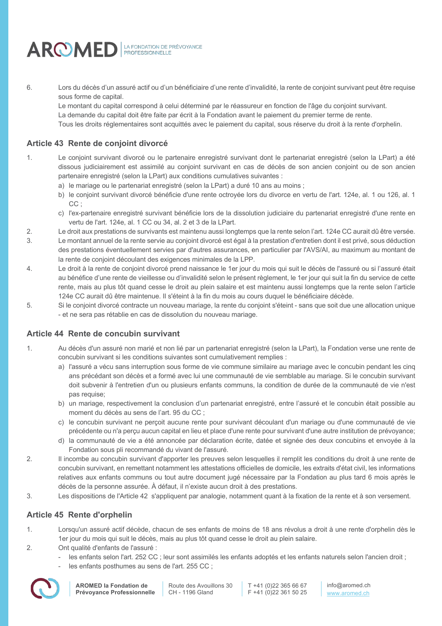

6. Lors du décès d'un assuré actif ou d'un bénéficiaire d'une rente d'invalidité, la rente de conjoint survivant peut être requise sous forme de capital.

Le montant du capital correspond à celui déterminé par le réassureur en fonction de l'âge du conjoint survivant. La demande du capital doit être faite par écrit à la Fondation avant le paiement du premier terme de rente.

Tous les droits réglementaires sont acquittés avec le paiement du capital, sous réserve du droit à la rente d'orphelin.

# **Article 43 Rente de conjoint divorcé**

- 1. Le conjoint survivant divorcé ou le partenaire enregistré survivant dont le partenariat enregistré (selon la LPart) a été dissous judiciairement est assimilé au conjoint survivant en cas de décès de son ancien conjoint ou de son ancien partenaire enregistré (selon la LPart) aux conditions cumulatives suivantes :
	- a) le mariage ou le partenariat enregistré (selon la LPart) a duré 10 ans au moins ;
	- b) le conjoint survivant divorcé bénéficie d'une rente octroyée lors du divorce en vertu de l'art. 124e, al. 1 ou 126, al. 1 CC;
	- c) l'ex-partenaire enregistré survivant bénéficie lors de la dissolution judiciaire du partenariat enregistré d'une rente en vertu de l'art. 124e, al. 1 CC ou 34, al. 2 et 3 de la LPart.
- 2. Le droit aux prestations de survivants est maintenu aussi longtemps que la rente selon l'art. 124e CC aurait dû être versée.
- 3. Le montant annuel de la rente servie au conjoint divorcé est égal à la prestation d'entretien dont il est privé, sous déduction des prestations éventuellement servies par d'autres assurances, en particulier par l'AVS/AI, au maximum au montant de la rente de conjoint découlant des exigences minimales de la LPP.
- 4. Le droit à la rente de conjoint divorcé prend naissance le 1er jour du mois qui suit le décès de l'assuré ou si l'assuré était au bénéfice d'une rente de vieillesse ou d'invalidité selon le présent règlement, le 1er jour qui suit la fin du service de cette rente, mais au plus tôt quand cesse le droit au plein salaire et est maintenu aussi longtemps que la rente selon l'article 124e CC aurait dû être maintenue. Il s'éteint à la fin du mois au cours duquel le bénéficiaire décède.
- 5. Si le conjoint divorcé contracte un nouveau mariage, la rente du conjoint s'éteint sans que soit due une allocation unique - et ne sera pas rétablie en cas de dissolution du nouveau mariage.

# **Article 44 Rente de concubin survivant**

- 1. Au décès d'un assuré non marié et non lié par un partenariat enregistré (selon la LPart), la Fondation verse une rente de concubin survivant si les conditions suivantes sont cumulativement remplies :
	- a) l'assuré a vécu sans interruption sous forme de vie commune similaire au mariage avec le concubin pendant les cinq ans précédant son décès et a formé avec lui une communauté de vie semblable au mariage. Si le concubin survivant doit subvenir à l'entretien d'un ou plusieurs enfants communs, la condition de durée de la communauté de vie n'est pas requise;
	- b) un mariage, respectivement la conclusion d'un partenariat enregistré, entre l'assuré et le concubin était possible au moment du décès au sens de l'art. 95 du CC ;
	- c) le concubin survivant ne perçoit aucune rente pour survivant découlant d'un mariage ou d'une communauté de vie précédente ou n'a perçu aucun capital en lieu et place d'une rente pour survivant d'une autre institution de prévoyance;
	- d) la communauté de vie a été annoncée par déclaration écrite, datée et signée des deux concubins et envoyée à la Fondation sous pli recommandé du vivant de l'assuré.
- 2. Il incombe au concubin survivant d'apporter les preuves selon lesquelles il remplit les conditions du droit à une rente de concubin survivant, en remettant notamment les attestations officielles de domicile, les extraits d'état civil, les informations relatives aux enfants communs ou tout autre document jugé nécessaire par la Fondation au plus tard 6 mois après le décès de la personne assurée. À défaut, il n'existe aucun droit à des prestations.
- 3. Les dispositions de l'Article 42 s'appliquent par analogie, notamment quant à la fixation de la rente et à son versement.

# **Article 45 Rente d'orphelin**

- 1. Lorsqu'un assuré actif décède, chacun de ses enfants de moins de 18 ans révolus a droit à une rente d'orphelin dès le 1er jour du mois qui suit le décès, mais au plus tôt quand cesse le droit au plein salaire.
- 2. Ont qualité d'enfants de l'assuré :
	- les enfants selon l'art. 252 CC ; leur sont assimilés les enfants adoptés et les enfants naturels selon l'ancien droit ;
	- les enfants posthumes au sens de l'art. 255 CC ;



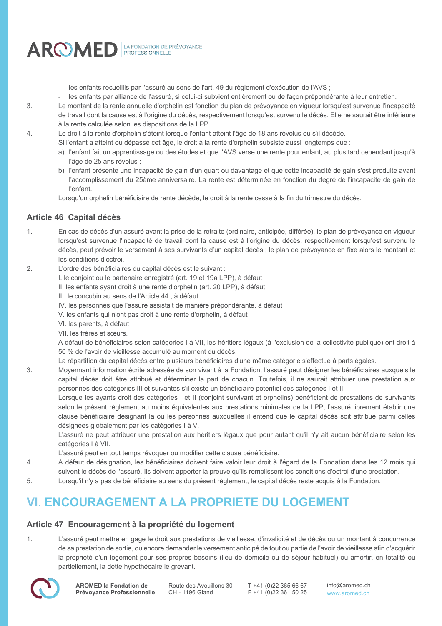

- les enfants recueillis par l'assuré au sens de l'art. 49 du règlement d'exécution de l'AVS ;
- les enfants par alliance de l'assuré, si celui-ci subvient entièrement ou de façon prépondérante à leur entretien.
- 3. Le montant de la rente annuelle d'orphelin est fonction du plan de prévoyance en vigueur lorsqu'est survenue l'incapacité de travail dont la cause est à l'origine du décès, respectivement lorsqu'est survenu le décès. Elle ne saurait être inférieure à la rente calculée selon les dispositions de la LPP.
- 4. Le droit à la rente d'orphelin s'éteint lorsque l'enfant atteint l'âge de 18 ans révolus ou s'il décède.
	- Si l'enfant a atteint ou dépassé cet âge, le droit à la rente d'orphelin subsiste aussi longtemps que :
		- a) l'enfant fait un apprentissage ou des études et que l'AVS verse une rente pour enfant, au plus tard cependant jusqu'à l'âge de 25 ans révolus ;
		- b) l'enfant présente une incapacité de gain d'un quart ou davantage et que cette incapacité de gain s'est produite avant l'accomplissement du 25ème anniversaire. La rente est déterminée en fonction du degré de l'incapacité de gain de l'enfant.

Lorsqu'un orphelin bénéficiaire de rente décède, le droit à la rente cesse à la fin du trimestre du décès.

# **Article 46 Capital décès**

- 1. En cas de décès d'un assuré avant la prise de la retraite (ordinaire, anticipée, différée), le plan de prévoyance en vigueur lorsqu'est survenue l'incapacité de travail dont la cause est à l'origine du décès, respectivement lorsqu'est survenu le décès, peut prévoir le versement à ses survivants d'un capital décès ; le plan de prévoyance en fixe alors le montant et les conditions d'octroi.
- 2. L'ordre des bénéficiaires du capital décès est le suivant :
	- I. le conjoint ou le partenaire enregistré (art. 19 et 19a LPP), à défaut
	- II. les enfants ayant droit à une rente d'orphelin (art. 20 LPP), à défaut
	- III. le concubin au sens de l'Article 44 , à défaut
	- IV. les personnes que l'assuré assistait de manière prépondérante, à défaut
	- V. les enfants qui n'ont pas droit à une rente d'orphelin, à défaut
	- VI. les parents, à défaut
	- VII. les frères et sœurs.

A défaut de bénéficiaires selon catégories I à VII, les héritiers légaux (à l'exclusion de la collectivité publique) ont droit à 50 % de l'avoir de vieillesse accumulé au moment du décès.

- La répartition du capital décès entre plusieurs bénéficiaires d'une même catégorie s'effectue à parts égales.
- 3. Moyennant information écrite adressée de son vivant à la Fondation, l'assuré peut désigner les bénéficiaires auxquels le capital décès doit être attribué et déterminer la part de chacun. Toutefois, il ne saurait attribuer une prestation aux personnes des catégories III et suivantes s'il existe un bénéficiaire potentiel des catégories I et II.

Lorsque les ayants droit des catégories I et II (conjoint survivant et orphelins) bénéficient de prestations de survivants selon le présent règlement au moins équivalentes aux prestations minimales de la LPP, l'assuré librement établir une clause bénéficiaire désignant la ou les personnes auxquelles il entend que le capital décès soit attribué parmi celles désignées globalement par les catégories I à V.

L'assuré ne peut attribuer une prestation aux héritiers légaux que pour autant qu'il n'y ait aucun bénéficiaire selon les catégories I à VII.

L'assuré peut en tout temps révoquer ou modifier cette clause bénéficiaire.

- 4. A défaut de désignation, les bénéficiaires doivent faire valoir leur droit à l'égard de la Fondation dans les 12 mois qui suivent le décès de l'assuré. Ils doivent apporter la preuve qu'ils remplissent les conditions d'octroi d'une prestation.
- 5. Lorsqu'il n'y a pas de bénéficiaire au sens du présent règlement, le capital décès reste acquis à la Fondation.

# **VI. ENCOURAGEMENT A LA PROPRIETE DU LOGEMENT**

# **Article 47 Encouragement à la propriété du logement**

1. L'assuré peut mettre en gage le droit aux prestations de vieillesse, d'invalidité et de décès ou un montant à concurrence de sa prestation de sortie, ou encore demander le versement anticipé de tout ou partie de l'avoir de vieillesse afin d'acquérir la propriété d'un logement pour ses propres besoins (lieu de domicile ou de séjour habituel) ou amortir, en totalité ou partiellement, la dette hypothécaire le grevant.



Route des Avouillons 30 CH - 1196 Gland

T +41 (0)22 365 66 67 F +41 (0)22 361 50 25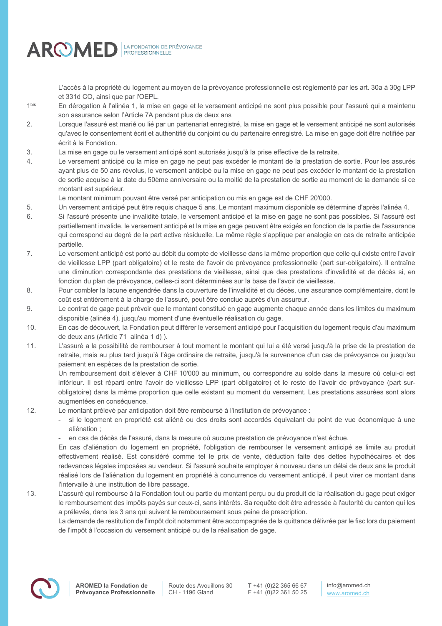

L'accès à la propriété du logement au moyen de la prévoyance professionnelle est réglementé par les art. 30a à 30g LPP et 331d CO, ainsi que par l'OEPL.

- 1<sup>bis</sup> En dérogation à l'alinéa 1, la mise en gage et le versement anticipé ne sont plus possible pour l'assuré qui a maintenu son assurance selon l'Article 7A pendant plus de deux ans
- 2. Lorsque l'assuré est marié ou lié par un partenariat enregistré, la mise en gage et le versement anticipé ne sont autorisés qu'avec le consentement écrit et authentifié du conjoint ou du partenaire enregistré. La mise en gage doit être notifiée par écrit à la Fondation.
- 3. La mise en gage ou le versement anticipé sont autorisés jusqu'à la prise effective de la retraite.
- 4. Le versement anticipé ou la mise en gage ne peut pas excéder le montant de la prestation de sortie. Pour les assurés ayant plus de 50 ans révolus, le versement anticipé ou la mise en gage ne peut pas excéder le montant de la prestation de sortie acquise à la date du 50ème anniversaire ou la moitié de la prestation de sortie au moment de la demande si ce montant est supérieur.
	- Le montant minimum pouvant être versé par anticipation ou mis en gage est de CHF 20'000.
- 5. Un versement anticipé peut être requis chaque 5 ans. Le montant maximum disponible se détermine d'après l'alinéa 4.
- 6. Si l'assuré présente une invalidité totale, le versement anticipé et la mise en gage ne sont pas possibles. Si l'assuré est partiellement invalide, le versement anticipé et la mise en gage peuvent être exigés en fonction de la partie de l'assurance qui correspond au degré de la part active résiduelle. La même règle s'applique par analogie en cas de retraite anticipée partielle.
- 7. Le versement anticipé est porté au débit du compte de vieillesse dans la même proportion que celle qui existe entre l'avoir de vieillesse LPP (part obligatoire) et le reste de l'avoir de prévoyance professionnelle (part sur-obligatoire). Il entraîne une diminution correspondante des prestations de vieillesse, ainsi que des prestations d'invalidité et de décès si, en fonction du plan de prévoyance, celles-ci sont déterminées sur la base de l'avoir de vieillesse.
- 8. Pour combler la lacune engendrée dans la couverture de l'invalidité et du décès, une assurance complémentaire, dont le coût est entièrement à la charge de l'assuré, peut être conclue auprès d'un assureur.
- 9. Le contrat de gage peut prévoir que le montant constitué en gage augmente chaque année dans les limites du maximum disponible (alinéa 4), jusqu'au moment d'une éventuelle réalisation du gage.
- 10. En cas de découvert, la Fondation peut différer le versement anticipé pour l'acquisition du logement requis d'au maximum de deux ans (Article 71 alinéa 1 d) ).
- 11. L'assuré a la possibilité de rembourser à tout moment le montant qui lui a été versé jusqu'à la prise de la prestation de retraite, mais au plus tard jusqu'à l'âge ordinaire de retraite, jusqu'à la survenance d'un cas de prévoyance ou jusqu'au paiement en espèces de la prestation de sortie.

Un remboursement doit s'élever à CHF 10'000 au minimum, ou correspondre au solde dans la mesure où celui-ci est inférieur. Il est réparti entre l'avoir de vieillesse LPP (part obligatoire) et le reste de l'avoir de prévoyance (part surobligatoire) dans la même proportion que celle existant au moment du versement. Les prestations assurées sont alors augmentées en conséquence.

- 12. Le montant prélevé par anticipation doit être remboursé à l'institution de prévoyance :
	- si le logement en propriété est aliéné ou des droits sont accordés équivalant du point de vue économique à une aliénation ;
	- en cas de décès de l'assuré, dans la mesure où aucune prestation de prévovance n'est échue.

En cas d'aliénation du logement en propriété, l'obligation de rembourser le versement anticipé se limite au produit effectivement réalisé. Est considéré comme tel le prix de vente, déduction faite des dettes hypothécaires et des redevances légales imposées au vendeur. Si l'assuré souhaite employer à nouveau dans un délai de deux ans le produit réalisé lors de l'aliénation du logement en propriété à concurrence du versement anticipé, il peut virer ce montant dans l'intervalle à une institution de libre passage.

13. L'assuré qui rembourse à la Fondation tout ou partie du montant perçu ou du produit de la réalisation du gage peut exiger le remboursement des impôts payés sur ceux-ci, sans intérêts. Sa requête doit être adressée à l'autorité du canton qui les a prélevés, dans les 3 ans qui suivent le remboursement sous peine de prescription.

La demande de restitution de l'impôt doit notamment être accompagnée de la quittance délivrée par le fisc lors du paiement de l'impôt à l'occasion du versement anticipé ou de la réalisation de gage.

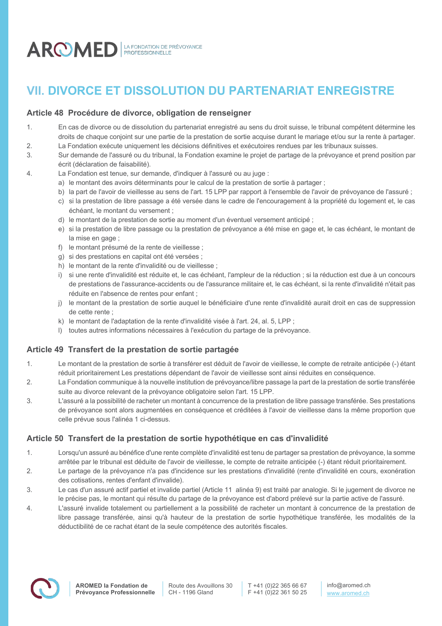

# **VII. DIVORCE ET DISSOLUTION DU PARTENARIAT ENREGISTRE**

# **Article 48 Procédure de divorce, obligation de renseigner**

- 1. En cas de divorce ou de dissolution du partenariat enregistré au sens du droit suisse, le tribunal compétent détermine les droits de chaque conjoint sur une partie de la prestation de sortie acquise durant le mariage et/ou sur la rente à partager.
- 2. La Fondation exécute uniquement les décisions définitives et exécutoires rendues par les tribunaux suisses.
- 3. Sur demande de l'assuré ou du tribunal, la Fondation examine le projet de partage de la prévoyance et prend position par écrit (déclaration de faisabilité).
- 4. La Fondation est tenue, sur demande, d'indiquer à l'assuré ou au juge :
	- a) le montant des avoirs déterminants pour le calcul de la prestation de sortie à partager ;
	- b) la part de l'avoir de vieillesse au sens de l'art. 15 LPP par rapport à l'ensemble de l'avoir de prévoyance de l'assuré ;
	- c) si la prestation de libre passage a été versée dans le cadre de l'encouragement à la propriété du logement et, le cas échéant, le montant du versement ;
	- d) le montant de la prestation de sortie au moment d'un éventuel versement anticipé ;
	- e) si la prestation de libre passage ou la prestation de prévoyance a été mise en gage et, le cas échéant, le montant de la mise en gage :
	- f) le montant présumé de la rente de vieillesse ;
	- g) si des prestations en capital ont été versées ;
	- h) le montant de la rente d'invalidité ou de vieillesse ;
	- i) si une rente d'invalidité est réduite et, le cas échéant, l'ampleur de la réduction ; si la réduction est due à un concours de prestations de l'assurance-accidents ou de l'assurance militaire et, le cas échéant, si la rente d'invalidité n'était pas réduite en l'absence de rentes pour enfant ;
	- j) le montant de la prestation de sortie auquel le bénéficiaire d'une rente d'invalidité aurait droit en cas de suppression de cette rente ;
	- k) le montant de l'adaptation de la rente d'invalidité visée à l'art. 24, al. 5, LPP ;
	- l) toutes autres informations nécessaires à l'exécution du partage de la prévoyance.

# **Article 49 Transfert de la prestation de sortie partagée**

- 1. Le montant de la prestation de sortie à transférer est déduit de l'avoir de vieillesse, le compte de retraite anticipée (-) étant réduit prioritairement Les prestations dépendant de l'avoir de vieillesse sont ainsi réduites en conséquence.
- 2. La Fondation communique à la nouvelle institution de prévoyance/libre passage la part de la prestation de sortie transférée suite au divorce relevant de la prévoyance obligatoire selon l'art. 15 LPP.
- 3. L'assuré a la possibilité de racheter un montant à concurrence de la prestation de libre passage transférée. Ses prestations de prévoyance sont alors augmentées en conséquence et créditées à l'avoir de vieillesse dans la même proportion que celle prévue sous l'alinéa 1 ci-dessus.

# **Article 50 Transfert de la prestation de sortie hypothétique en cas d'invalidité**

- 1. Lorsqu'un assuré au bénéfice d'une rente complète d'invalidité est tenu de partager sa prestation de prévoyance, la somme arrêtée par le tribunal est déduite de l'avoir de vieillesse, le compte de retraite anticipée (-) étant réduit prioritairement.
- 2. Le partage de la prévoyance n'a pas d'incidence sur les prestations d'invalidité (rente d'invalidité en cours, exonération des cotisations, rentes d'enfant d'invalide).
- 3. Le cas d'un assuré actif partiel et invalide partiel (Article 11 alinéa 9) est traité par analogie. Si le jugement de divorce ne le précise pas, le montant qui résulte du partage de la prévoyance est d'abord prélevé sur la partie active de l'assuré.
- 4. L'assuré invalide totalement ou partiellement a la possibilité de racheter un montant à concurrence de la prestation de libre passage transférée, ainsi qu'à hauteur de la prestation de sortie hypothétique transférée, les modalités de la déductibilité de ce rachat étant de la seule compétence des autorités fiscales.

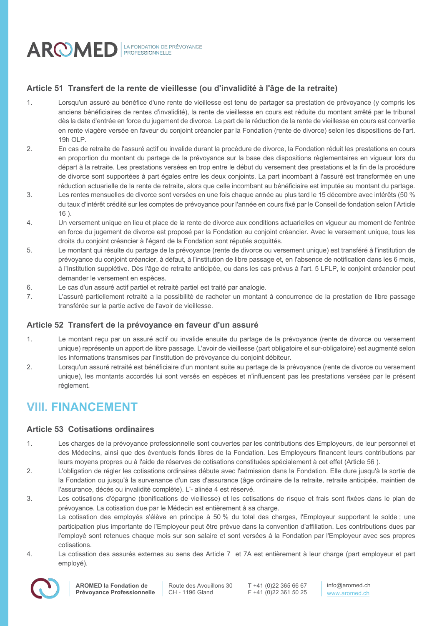

# **Article 51 Transfert de la rente de vieillesse (ou d'invalidité à l'âge de la retraite)**

- 1. Lorsqu'un assuré au bénéfice d'une rente de vieillesse est tenu de partager sa prestation de prévoyance (y compris les anciens bénéficiaires de rentes d'invalidité), la rente de vieillesse en cours est réduite du montant arrêté par le tribunal dès la date d'entrée en force du jugement de divorce. La part de la réduction de la rente de vieillesse en cours est convertie en rente viagère versée en faveur du conjoint créancier par la Fondation (rente de divorce) selon les dispositions de l'art. 19h OLP.
- 2. En cas de retraite de l'assuré actif ou invalide durant la procédure de divorce, la Fondation réduit les prestations en cours en proportion du montant du partage de la prévoyance sur la base des dispositions règlementaires en vigueur lors du départ à la retraite. Les prestations versées en trop entre le début du versement des prestations et la fin de la procédure de divorce sont supportées à part égales entre les deux conjoints. La part incombant à l'assuré est transformée en une réduction actuarielle de la rente de retraite, alors que celle incombant au bénéficiaire est imputée au montant du partage.
- 3. Les rentes mensuelles de divorce sont versées en une fois chaque année au plus tard le 15 décembre avec intérêts (50 % du taux d'intérêt crédité sur les comptes de prévoyance pour l'année en cours fixé par le Conseil de fondation selon l'Article  $16)$
- 4. Un versement unique en lieu et place de la rente de divorce aux conditions actuarielles en vigueur au moment de l'entrée en force du jugement de divorce est proposé par la Fondation au conjoint créancier. Avec le versement unique, tous les droits du conjoint créancier à l'égard de la Fondation sont réputés acquittés.
- 5. Le montant qui résulte du partage de la prévoyance (rente de divorce ou versement unique) est transféré à l'institution de prévoyance du conjoint créancier, à défaut, à l'institution de libre passage et, en l'absence de notification dans les 6 mois, à l'Institution supplétive. Dès l'âge de retraite anticipée, ou dans les cas prévus à l'art. 5 LFLP, le conjoint créancier peut demander le versement en espèces.
- 6. Le cas d'un assuré actif partiel et retraité partiel est traité par analogie.
- 7. L'assuré partiellement retraité a la possibilité de racheter un montant à concurrence de la prestation de libre passage transférée sur la partie active de l'avoir de vieillesse.

### **Article 52 Transfert de la prévoyance en faveur d'un assuré**

- 1. Le montant reçu par un assuré actif ou invalide ensuite du partage de la prévoyance (rente de divorce ou versement unique) représente un apport de libre passage. L'avoir de vieillesse (part obligatoire et sur-obligatoire) est augmenté selon les informations transmises par l'institution de prévoyance du conjoint débiteur.
- 2. Lorsqu'un assuré retraité est bénéficiaire d'un montant suite au partage de la prévoyance (rente de divorce ou versement unique), les montants accordés lui sont versés en espèces et n'influencent pas les prestations versées par le présent règlement.

# **VIII. FINANCEMENT**

# **Article 53 Cotisations ordinaires**

- 1. Les charges de la prévoyance professionnelle sont couvertes par les contributions des Employeurs, de leur personnel et des Médecins, ainsi que des éventuels fonds libres de la Fondation. Les Employeurs financent leurs contributions par leurs moyens propres ou à l'aide de réserves de cotisations constituées spécialement à cet effet (Article 56 ).
- 2. L'obligation de régler les cotisations ordinaires débute avec l'admission dans la Fondation. Elle dure jusqu'à la sortie de la Fondation ou jusqu'à la survenance d'un cas d'assurance (âge ordinaire de la retraite, retraite anticipée, maintien de l'assurance, décès ou invalidité complète). L'- alinéa 4 est réservé.
- 3. Les cotisations d'épargne (bonifications de vieillesse) et les cotisations de risque et frais sont fixées dans le plan de prévoyance. La cotisation due par le Médecin est entièrement à sa charge.

La cotisation des employés s'élève en principe à 50 % du total des charges, l'Employeur supportant le solde ; une participation plus importante de l'Employeur peut être prévue dans la convention d'affiliation. Les contributions dues par l'employé sont retenues chaque mois sur son salaire et sont versées à la Fondation par l'Employeur avec ses propres cotisations.

4. La cotisation des assurés externes au sens des Article 7 et 7A est entièrement à leur charge (part employeur et part employé).



Route des Avouillons 30 CH - 1196 Gland

T +41 (0)22 365 66 67 F +41 (0)22 361 50 25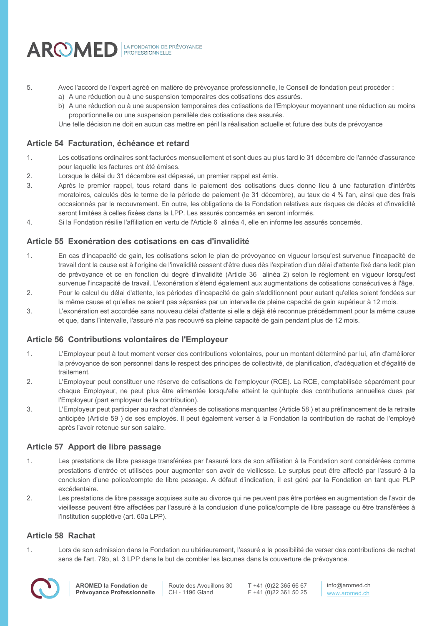

- 5. Avec l'accord de l'expert agréé en matière de prévoyance professionnelle, le Conseil de fondation peut procéder :
	- a) A une réduction ou à une suspension temporaires des cotisations des assurés.
	- b) A une réduction ou à une suspension temporaires des cotisations de l'Employeur moyennant une réduction au moins proportionnelle ou une suspension parallèle des cotisations des assurés.

Une telle décision ne doit en aucun cas mettre en péril la réalisation actuelle et future des buts de prévoyance

# **Article 54 Facturation, échéance et retard**

- 1. Les cotisations ordinaires sont facturées mensuellement et sont dues au plus tard le 31 décembre de l'année d'assurance pour laquelle les factures ont été émises.
- 2. Lorsque le délai du 31 décembre est dépassé, un premier rappel est émis.
- 3. Après le premier rappel, tous retard dans le paiement des cotisations dues donne lieu à une facturation d'intérêts moratoires, calculés dès le terme de la période de paiement (le 31 décembre), au taux de 4 % l'an, ainsi que des frais occasionnés par le recouvrement. En outre, les obligations de la Fondation relatives aux risques de décès et d'invalidité seront limitées à celles fixées dans la LPP. Les assurés concernés en seront informés.
- 4. Si la Fondation résilie l'affiliation en vertu de l'Article 6 alinéa 4, elle en informe les assurés concernés.

# **Article 55 Exonération des cotisations en cas d'invalidité**

- 1. En cas d'incapacité de gain, les cotisations selon le plan de prévoyance en vigueur lorsqu'est survenue l'incapacité de travail dont la cause est à l'origine de l'invalidité cessent d'être dues dès l'expiration d'un délai d'attente fixé dans ledit plan de prévoyance et ce en fonction du degré d'invalidité (Article 36 alinéa 2) selon le règlement en vigueur lorsqu'est survenue l'incapacité de travail. L'exonération s'étend également aux augmentations de cotisations consécutives à l'âge.
- 2. Pour le calcul du délai d'attente, les périodes d'incapacité de gain s'additionnent pour autant qu'elles soient fondées sur la même cause et qu'elles ne soient pas séparées par un intervalle de pleine capacité de gain supérieur à 12 mois.
- 3. L'exonération est accordée sans nouveau délai d'attente si elle a déjà été reconnue précédemment pour la même cause et que, dans l'intervalle, l'assuré n'a pas recouvré sa pleine capacité de gain pendant plus de 12 mois.

### **Article 56 Contributions volontaires de l'Employeur**

- 1. L'Employeur peut à tout moment verser des contributions volontaires, pour un montant déterminé par lui, afin d'améliorer la prévoyance de son personnel dans le respect des principes de collectivité, de planification, d'adéquation et d'égalité de traitement.
- 2. L'Employeur peut constituer une réserve de cotisations de l'employeur (RCE). La RCE, comptabilisée séparément pour chaque Employeur, ne peut plus être alimentée lorsqu'elle atteint le quintuple des contributions annuelles dues par l'Employeur (part employeur de la contribution).
- 3. L'Employeur peut participer au rachat d'années de cotisations manquantes (Article 58 ) et au préfinancement de la retraite anticipée (Article 59 ) de ses employés. Il peut également verser à la Fondation la contribution de rachat de l'employé après l'avoir retenue sur son salaire.

# **Article 57 Apport de libre passage**

- 1. Les prestations de libre passage transférées par l'assuré lors de son affiliation à la Fondation sont considérées comme prestations d'entrée et utilisées pour augmenter son avoir de vieillesse. Le surplus peut être affecté par l'assuré à la conclusion d'une police/compte de libre passage. A défaut d'indication, il est géré par la Fondation en tant que PLP excédentaire.
- 2. Les prestations de libre passage acquises suite au divorce qui ne peuvent pas être portées en augmentation de l'avoir de vieillesse peuvent être affectées par l'assuré à la conclusion d'une police/compte de libre passage ou être transférées à l'institution supplétive (art. 60a LPP).

### **Article 58 Rachat**

1. Lors de son admission dans la Fondation ou ultérieurement, l'assuré a la possibilité de verser des contributions de rachat sens de l'art. 79b, al. 3 LPP dans le but de combler les lacunes dans la couverture de prévoyance.

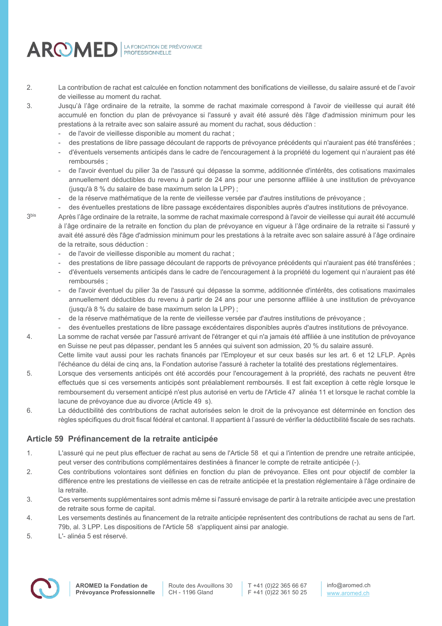

- 2. La contribution de rachat est calculée en fonction notamment des bonifications de vieillesse, du salaire assuré et de l'avoir de vieillesse au moment du rachat.
- 3. Jusqu'à l'âge ordinaire de la retraite, la somme de rachat maximale correspond à l'avoir de vieillesse qui aurait été accumulé en fonction du plan de prévoyance si l'assuré y avait été assuré dès l'âge d'admission minimum pour les prestations à la retraite avec son salaire assuré au moment du rachat, sous déduction :
	- de l'avoir de vieillesse disponible au moment du rachat ;
	- des prestations de libre passage découlant de rapports de prévoyance précédents qui n'auraient pas été transférées ;
	- d'éventuels versements anticipés dans le cadre de l'encouragement à la propriété du logement qui n'auraient pas été remboursés ;
	- de l'avoir éventuel du pilier 3a de l'assuré qui dépasse la somme, additionnée d'intérêts, des cotisations maximales annuellement déductibles du revenu à partir de 24 ans pour une personne affiliée à une institution de prévoyance (jusqu'à 8 % du salaire de base maximum selon la LPP) ;
	- de la réserve mathématique de la rente de vieillesse versée par d'autres institutions de prévoyance ;
	- des éventuelles prestations de libre passage excédentaires disponibles auprès d'autres institutions de prévoyance.
- 3<sup>bis</sup> Après l'âge ordinaire de la retraite, la somme de rachat maximale correspond à l'avoir de vieillesse qui aurait été accumulé à l'âge ordinaire de la retraite en fonction du plan de prévoyance en vigueur à l'âge ordinaire de la retraite si l'assuré y avait été assuré dès l'âge d'admission minimum pour les prestations à la retraite avec son salaire assuré à l'âge ordinaire de la retraite, sous déduction :
	- de l'avoir de vieillesse disponible au moment du rachat ;
	- des prestations de libre passage découlant de rapports de prévoyance précédents qui n'auraient pas été transférées ;
	- d'éventuels versements anticipés dans le cadre de l'encouragement à la propriété du logement qui n'auraient pas été remboursés ;
	- de l'avoir éventuel du pilier 3a de l'assuré qui dépasse la somme, additionnée d'intérêts, des cotisations maximales annuellement déductibles du revenu à partir de 24 ans pour une personne affiliée à une institution de prévoyance (jusqu'à 8 % du salaire de base maximum selon la LPP) ;
	- de la réserve mathématique de la rente de vieillesse versée par d'autres institutions de prévoyance ;
	- des éventuelles prestations de libre passage excédentaires disponibles auprès d'autres institutions de prévoyance.
- 4. La somme de rachat versée par l'assuré arrivant de l'étranger et qui n'a jamais été affiliée à une institution de prévoyance en Suisse ne peut pas dépasser, pendant les 5 années qui suivent son admission, 20 % du salaire assuré. Cette limite vaut aussi pour les rachats financés par l'Employeur et sur ceux basés sur les art. 6 et 12 LFLP. Après
	- l'échéance du délai de cinq ans, la Fondation autorise l'assuré à racheter la totalité des prestations réglementaires.
- 5. Lorsque des versements anticipés ont été accordés pour l'encouragement à la propriété, des rachats ne peuvent être effectués que si ces versements anticipés sont préalablement remboursés. Il est fait exception à cette règle lorsque le remboursement du versement anticipé n'est plus autorisé en vertu de l'Article 47 alinéa 11 et lorsque le rachat comble la lacune de prévoyance due au divorce (Article 49 s).
- 6. La déductibilité des contributions de rachat autorisées selon le droit de la prévoyance est déterminée en fonction des règles spécifiques du droit fiscal fédéral et cantonal. Il appartient à l'assuré de vérifier la déductibilité fiscale de ses rachats.

# **Article 59 Préfinancement de la retraite anticipée**

- 1. L'assuré qui ne peut plus effectuer de rachat au sens de l'Article 58 et qui a l'intention de prendre une retraite anticipée, peut verser des contributions complémentaires destinées à financer le compte de retraite anticipée (-).
- 2. Ces contributions volontaires sont définies en fonction du plan de prévoyance. Elles ont pour objectif de combler la différence entre les prestations de vieillesse en cas de retraite anticipée et la prestation réglementaire à l'âge ordinaire de la retraite.
- 3. Ces versements supplémentaires sont admis même si l'assuré envisage de partir à la retraite anticipée avec une prestation de retraite sous forme de capital.
- 4. Les versements destinés au financement de la retraite anticipée représentent des contributions de rachat au sens de l'art. 79b, al. 3 LPP. Les dispositions de l'Article 58 s'appliquent ainsi par analogie.
- 5. L'- alinéa 5 est réservé.

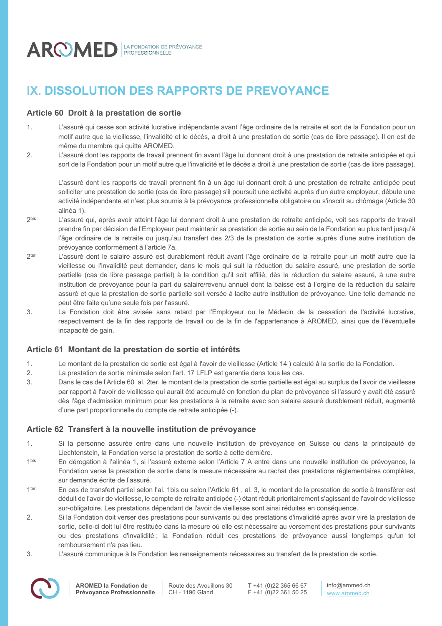

# **IX. DISSOLUTION DES RAPPORTS DE PREVOYANCE**

# **Article 60 Droit à la prestation de sortie**

- 1. L'assuré qui cesse son activité lucrative indépendante avant l'âge ordinaire de la retraite et sort de la Fondation pour un motif autre que la vieillesse, l'invalidité et le décès, a droit à une prestation de sortie (cas de libre passage). Il en est de même du membre qui quitte AROMED.
- 2. L'assuré dont les rapports de travail prennent fin avant l'âge lui donnant droit à une prestation de retraite anticipée et qui sort de la Fondation pour un motif autre que l'invalidité et le décès a droit à une prestation de sortie (cas de libre passage).

L'assuré dont les rapports de travail prennent fin à un âge lui donnant droit à une prestation de retraite anticipée peut solliciter une prestation de sortie (cas de libre passage) s'il poursuit une activité auprès d'un autre employeur, débute une activité indépendante et n'est plus soumis à la prévoyance professionnelle obligatoire ou s'inscrit au chômage (Article 30 alinéa 1).

- 2<sup>bis</sup> L'assuré qui, après avoir atteint l'âge lui donnant droit à une prestation de retraite anticipée, voit ses rapports de travail prendre fin par décision de l'Employeur peut maintenir sa prestation de sortie au sein de la Fondation au plus tard jusqu'à l'âge ordinaire de la retraite ou jusqu'au transfert des 2/3 de la prestation de sortie auprès d'une autre institution de prévoyance conformément à l'article 7a.
- 2<sup>ter</sup> L'assuré dont le salaire assuré est durablement réduit avant l'âge ordinaire de la retraite pour un motif autre que la vieillesse ou l'invalidité peut demander, dans le mois qui suit la réduction du salaire assuré, une prestation de sortie partielle (cas de libre passage partiel) à la condition qu'il soit affilié, dès la réduction du salaire assuré, à une autre institution de prévoyance pour la part du salaire/revenu annuel dont la baisse est à l'orgine de la réduction du salaire assuré et que la prestation de sortie partielle soit versée à ladite autre institution de prévoyance. Une telle demande ne peut être faite qu'une seule fois par l'assuré.
- 3. La Fondation doit être avisée sans retard par l'Employeur ou le Médecin de la cessation de l'activité lucrative, respectivement de la fin des rapports de travail ou de la fin de l'appartenance à AROMED, ainsi que de l'éventuelle incapacité de gain.

# **Article 61 Montant de la prestation de sortie et intérêts**

- 1. Le montant de la prestation de sortie est égal à l'avoir de vieillesse (Article 14 ) calculé à la sortie de la Fondation.
- 2. La prestation de sortie minimale selon l'art. 17 LFLP est garantie dans tous les cas.
- 3. Dans le cas de l'Article 60 al. 2ter, le montant de la prestation de sortie partielle est égal au surplus de l'avoir de vieillesse par rapport à l'avoir de vieillesse qui aurait été accumulé en fonction du plan de prévoyance si l'assuré y avait été assuré dès l'âge d'admission minimum pour les prestations à la retraite avec son salaire assuré durablement réduit, augmenté d'une part proportionnelle du compte de retraite anticipée (-).

# **Article 62 Transfert à la nouvelle institution de prévoyance**

- 1. Si la personne assurée entre dans une nouvelle institution de prévoyance en Suisse ou dans la principauté de Liechtenstein, la Fondation verse la prestation de sortie à cette dernière.
- 1bis En dérogation à l'alinéa 1, si l'assuré externe selon l'Article 7 A entre dans une nouvelle institution de prévoyance, la Fondation verse la prestation de sortie dans la mesure nécessaire au rachat des prestations réglementaires complètes, sur demande écrite de l'assuré.
- 1ter En cas de transfert partiel selon l'al. 1bis ou selon l'Article 61, al. 3, le montant de la prestation de sortie à transférer est déduit de l'avoir de vieillesse, le compte de retraite anticipée (-) étant réduit prioritairement s'agissant de l'avoir de vieillesse sur-obligatoire. Les prestations dépendant de l'avoir de vieillesse sont ainsi réduites en conséquence.
- 2. Si la Fondation doit verser des prestations pour survivants ou des prestations d'invalidité après avoir viré la prestation de sortie, celle-ci doit lui être restituée dans la mesure où elle est nécessaire au versement des prestations pour survivants ou des prestations d'invalidité ; la Fondation réduit ces prestations de prévoyance aussi longtemps qu'un tel remboursement n'a pas lieu.
- 3. L'assuré communique à la Fondation les renseignements nécessaires au transfert de la prestation de sortie.

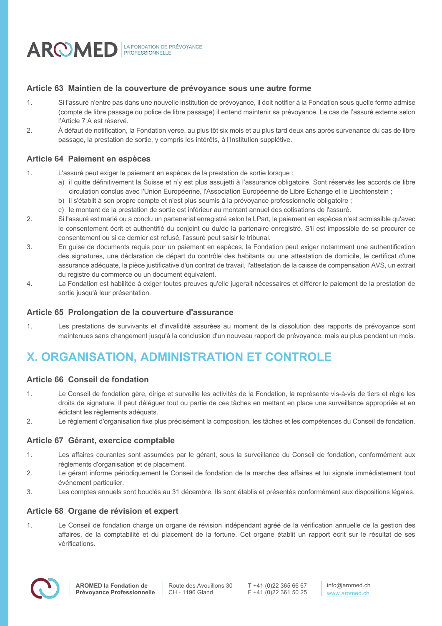

# **Article 63 Maintien de la couverture de prévoyance sous une autre forme**

- 1. Si l'assuré n'entre pas dans une nouvelle institution de prévoyance, il doit notifier à la Fondation sous quelle forme admise (compte de libre passage ou police de libre passage) il entend maintenir sa prévoyance. Le cas de l'assuré externe selon l'Article 7 A est réservé.
- 2. À défaut de notification, la Fondation verse, au plus tôt six mois et au plus tard deux ans après survenance du cas de libre passage, la prestation de sortie, y compris les intérêts, à l'Institution supplétive.

### **Article 64 Paiement en espèces**

- 1. L'assuré peut exiger le paiement en espèces de la prestation de sortie lorsque :
	- a) il quitte définitivement la Suisse et n'y est plus assujetti à l'assurance obligatoire. Sont réservés les accords de libre circulation conclus avec l'Union Européenne, l'Association Européenne de Libre Echange et le Liechtenstein ;
	- b) il s'établit à son propre compte et n'est plus soumis à la prévoyance professionnelle obligatoire ;
	- c) le montant de la prestation de sortie est inférieur au montant annuel des cotisations de l'assuré.
- 2. Si l'assuré est marié ou a conclu un partenariat enregistré selon la LPart, le paiement en espèces n'est admissible qu'avec le consentement écrit et authentifié du conjoint ou du/de la partenaire enregistré. S'il est impossible de se procurer ce consentement ou si ce dernier est refusé, l'assuré peut saisir le tribunal.
- 3. En guise de documents requis pour un paiement en espèces, la Fondation peut exiger notamment une authentification des signatures, une déclaration de départ du contrôle des habitants ou une attestation de domicile, le certificat d'une assurance adéquate, la pièce justificative d'un contrat de travail, l'attestation de la caisse de compensation AVS, un extrait du registre du commerce ou un document équivalent.
- 4. La Fondation est habilitée à exiger toutes preuves qu'elle jugerait nécessaires et différer le paiement de la prestation de sortie jusqu'à leur présentation.

### **Article 65 Prolongation de la couverture d'assurance**

1. Les prestations de survivants et d'invalidité assurées au moment de la dissolution des rapports de prévoyance sont maintenues sans changement jusqu'à la conclusion d'un nouveau rapport de prévoyance, mais au plus pendant un mois.

# **X. ORGANISATION, ADMINISTRATION ET CONTROLE**

# **Article 66 Conseil de fondation**

- 1. Le Conseil de fondation gère, dirige et surveille les activités de la Fondation, la représente vis-à-vis de tiers et règle les droits de signature. Il peut déléguer tout ou partie de ces tâches en mettant en place une surveillance appropriée et en édictant les règlements adéquats.
- 2. Le règlement d'organisation fixe plus précisément la composition, les tâches et les compétences du Conseil de fondation.

### **Article 67 Gérant, exercice comptable**

- 1. Les affaires courantes sont assumées par le gérant, sous la surveillance du Conseil de fondation, conformément aux règlements d'organisation et de placement.
- 2. Le gérant informe périodiquement le Conseil de fondation de la marche des affaires et lui signale immédiatement tout événement particulier.
- 3. Les comptes annuels sont bouclés au 31 décembre. Ils sont établis et présentés conformément aux dispositions légales.

### **Article 68 Organe de révision et expert**

1. Le Conseil de fondation charge un organe de révision indépendant agréé de la vérification annuelle de la gestion des affaires, de la comptabilité et du placement de la fortune. Cet organe établit un rapport écrit sur le résultat de ses vérifications.

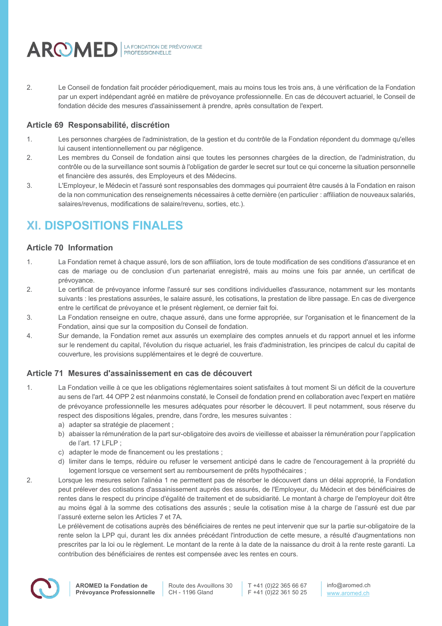

2. Le Conseil de fondation fait procéder périodiquement, mais au moins tous les trois ans, à une vérification de la Fondation par un expert indépendant agréé en matière de prévoyance professionnelle. En cas de découvert actuariel, le Conseil de fondation décide des mesures d'assainissement à prendre, après consultation de l'expert.

# **Article 69 Responsabilité, discrétion**

- 1. Les personnes chargées de l'administration, de la gestion et du contrôle de la Fondation répondent du dommage qu'elles lui causent intentionnellement ou par négligence.
- 2. Les membres du Conseil de fondation ainsi que toutes les personnes chargées de la direction, de l'administration, du contrôle ou de la surveillance sont soumis à l'obligation de garder le secret sur tout ce qui concerne la situation personnelle et financière des assurés, des Employeurs et des Médecins.
- 3. L'Employeur, le Médecin et l'assuré sont responsables des dommages qui pourraient être causés à la Fondation en raison de la non communication des renseignements nécessaires à cette dernière (en particulier : affiliation de nouveaux salariés, salaires/revenus, modifications de salaire/revenu, sorties, etc.).

# **XI. DISPOSITIONS FINALES**

# **Article 70 Information**

- 1. La Fondation remet à chaque assuré, lors de son affiliation, lors de toute modification de ses conditions d'assurance et en cas de mariage ou de conclusion d'un partenariat enregistré, mais au moins une fois par année, un certificat de prévoyance.
- 2. Le certificat de prévoyance informe l'assuré sur ses conditions individuelles d'assurance, notamment sur les montants suivants : les prestations assurées, le salaire assuré, les cotisations, la prestation de libre passage. En cas de divergence entre le certificat de prévoyance et le présent règlement, ce dernier fait foi.
- 3. La Fondation renseigne en outre, chaque assuré, dans une forme appropriée, sur l'organisation et le financement de la Fondation, ainsi que sur la composition du Conseil de fondation.
- 4. Sur demande, la Fondation remet aux assurés un exemplaire des comptes annuels et du rapport annuel et les informe sur le rendement du capital, l'évolution du risque actuariel, les frais d'administration, les principes de calcul du capital de couverture, les provisions supplémentaires et le degré de couverture.

# **Article 71 Mesures d'assainissement en cas de découvert**

- 1. La Fondation veille à ce que les obligations réglementaires soient satisfaites à tout moment Si un déficit de la couverture au sens de l'art. 44 OPP 2 est néanmoins constaté, le Conseil de fondation prend en collaboration avec l'expert en matière de prévoyance professionnelle les mesures adéquates pour résorber le découvert. Il peut notamment, sous réserve du respect des dispositions légales, prendre, dans l'ordre, les mesures suivantes :
	- a) adapter sa stratégie de placement ;
	- b) abaisser la rémunération de la part sur-obligatoire des avoirs de vieillesse et abaisser la rémunération pour l'application de l'art. 17 LFLP ;
	- c) adapter le mode de financement ou les prestations ;
	- d) limiter dans le temps, réduire ou refuser le versement anticipé dans le cadre de l'encouragement à la propriété du logement lorsque ce versement sert au remboursement de prêts hypothécaires ;
- 2. Lorsque les mesures selon l'alinéa 1 ne permettent pas de résorber le découvert dans un délai approprié, la Fondation peut prélever des cotisations d'assainissement auprès des assurés, de l'Employeur, du Médecin et des bénéficiaires de rentes dans le respect du principe d'égalité de traitement et de subsidiarité. Le montant à charge de l'employeur doit être au moins égal à la somme des cotisations des assurés ; seule la cotisation mise à la charge de l'assuré est due par l'assuré externe selon les Articles 7 et 7A.

Le prélèvement de cotisations auprès des bénéficiaires de rentes ne peut intervenir que sur la partie sur-obligatoire de la rente selon la LPP qui, durant les dix années précédant l'introduction de cette mesure, a résulté d'augmentations non prescrites par la loi ou le règlement. Le montant de la rente à la date de la naissance du droit à la rente reste garanti. La contribution des bénéficiaires de rentes est compensée avec les rentes en cours.



T +41 (0)22 365 66 67 F +41 (0)22 361 50 25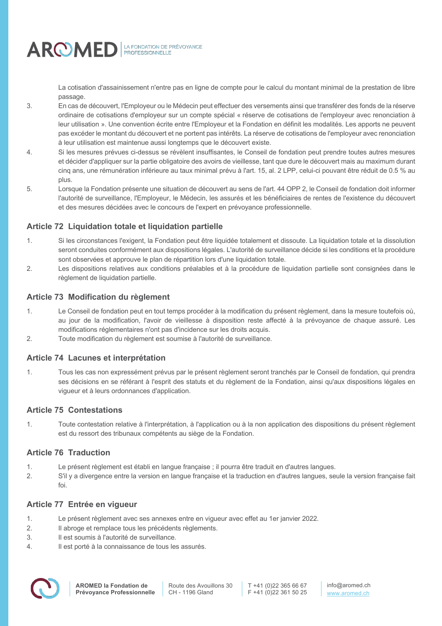AROMED FROM BE PRÉVOYANCE

La cotisation d'assainissement n'entre pas en ligne de compte pour le calcul du montant minimal de la prestation de libre passage.

- 3. En cas de découvert, l'Employeur ou le Médecin peut effectuer des versements ainsi que transférer des fonds de la réserve ordinaire de cotisations d'employeur sur un compte spécial « réserve de cotisations de l'employeur avec renonciation à leur utilisation ». Une convention écrite entre l'Employeur et la Fondation en définit les modalités. Les apports ne peuvent pas excéder le montant du découvert et ne portent pas intérêts. La réserve de cotisations de l'employeur avec renonciation à leur utilisation est maintenue aussi longtemps que le découvert existe.
- 4. Si les mesures prévues ci-dessus se révèlent insuffisantes, le Conseil de fondation peut prendre toutes autres mesures et décider d'appliquer sur la partie obligatoire des avoirs de vieillesse, tant que dure le découvert mais au maximum durant cinq ans, une rémunération inférieure au taux minimal prévu à l'art. 15, al. 2 LPP, celui-ci pouvant être réduit de 0.5 % au plus.
- 5. Lorsque la Fondation présente une situation de découvert au sens de l'art. 44 OPP 2, le Conseil de fondation doit informer l'autorité de surveillance, l'Employeur, le Médecin, les assurés et les bénéficiaires de rentes de l'existence du découvert et des mesures décidées avec le concours de l'expert en prévoyance professionnelle.

# **Article 72 Liquidation totale et liquidation partielle**

- 1. Si les circonstances l'exigent, la Fondation peut être liquidée totalement et dissoute. La liquidation totale et la dissolution seront conduites conformément aux dispositions légales. L'autorité de surveillance décide si les conditions et la procédure sont observées et approuve le plan de répartition lors d'une liquidation totale.
- 2. Les dispositions relatives aux conditions préalables et à la procédure de liquidation partielle sont consignées dans le règlement de liquidation partielle.

# **Article 73 Modification du règlement**

- 1. Le Conseil de fondation peut en tout temps procéder à la modification du présent règlement, dans la mesure toutefois où, au jour de la modification, l'avoir de vieillesse à disposition reste affecté à la prévoyance de chaque assuré. Les modifications réglementaires n'ont pas d'incidence sur les droits acquis.
- 2. Toute modification du règlement est soumise à l'autorité de surveillance.

# **Article 74 Lacunes et interprétation**

1. Tous les cas non expressément prévus par le présent règlement seront tranchés par le Conseil de fondation, qui prendra ses décisions en se référant à l'esprit des statuts et du règlement de la Fondation, ainsi qu'aux dispositions légales en vigueur et à leurs ordonnances d'application.

# **Article 75 Contestations**

1. Toute contestation relative à l'interprétation, à l'application ou à la non application des dispositions du présent règlement est du ressort des tribunaux compétents au siège de la Fondation.

# **Article 76 Traduction**

- 1. Le présent règlement est établi en langue française ; il pourra être traduit en d'autres langues.
- 2. S'il y a divergence entre la version en langue française et la traduction en d'autres langues, seule la version française fait foi.

# **Article 77 Entrée en vigueur**

- 1. Le présent règlement avec ses annexes entre en vigueur avec effet au 1er janvier 2022.
- 2. Il abroge et remplace tous les précédents règlements.
- 3. Il est soumis à l'autorité de surveillance.
- 4. Il est porté à la connaissance de tous les assurés.

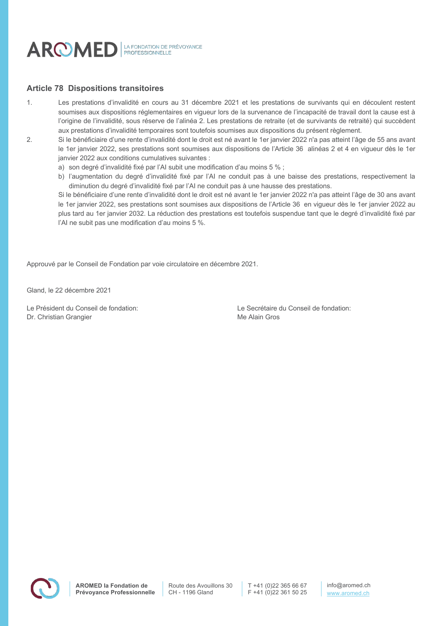

### **Article 78 Dispositions transitoires**

- 1. Les prestations d'invalidité en cours au 31 décembre 2021 et les prestations de survivants qui en découlent restent soumises aux dispositions réglementaires en vigueur lors de la survenance de l'incapacité de travail dont la cause est à l'origine de l'invalidité, sous réserve de l'alinéa 2. Les prestations de retraite (et de survivants de retraité) qui succèdent aux prestations d'invalidité temporaires sont toutefois soumises aux dispositions du présent règlement.
- 2. Si le bénéficiaire d'une rente d'invalidité dont le droit est né avant le 1er janvier 2022 n'a pas atteint l'âge de 55 ans avant le 1er janvier 2022, ses prestations sont soumises aux dispositions de l'Article 36 alinéas 2 et 4 en vigueur dès le 1er janvier 2022 aux conditions cumulatives suivantes :
	- a) son degré d'invalidité fixé par l'AI subit une modification d'au moins 5 % ;
	- b) l'augmentation du degré d'invalidité fixé par l'AI ne conduit pas à une baisse des prestations, respectivement la diminution du degré d'invalidité fixé par l'AI ne conduit pas à une hausse des prestations.

Si le bénéficiaire d'une rente d'invalidité dont le droit est né avant le 1er janvier 2022 n'a pas atteint l'âge de 30 ans avant le 1er janvier 2022, ses prestations sont soumises aux dispositions de l'Article 36 en vigueur dès le 1er janvier 2022 au plus tard au 1er janvier 2032. La réduction des prestations est toutefois suspendue tant que le degré d'invalidité fixé par l'AI ne subit pas une modification d'au moins 5 %.

Approuvé par le Conseil de Fondation par voie circulatoire en décembre 2021.

Gland, le 22 décembre 2021

Dr. Christian Grangier Me Alain Gros

Le Président du Conseil de fondation: Le Secrétaire du Conseil de fondation:

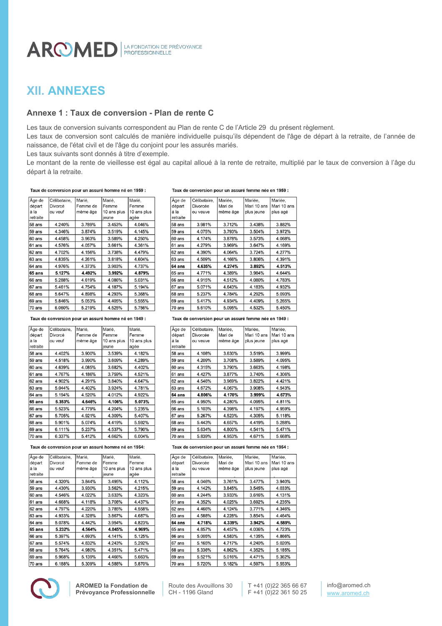# **XII. ANNEXES**

# **Annexe 1 : Taux de conversion - Plan de rente C**

Les taux de conversion suivants correspondent au Plan de rente C de l'Article 29 du présent règlement.

Les taux de conversion sont calculés de manière individuelle puisqu'ils dépendent de l'âge de départ à la retraite, de l'année de naissance, de l'état civil et de l'âge du conjoint pour les assurés mariés.

Les taux suivants sont donnés à titre d'exemple.

Le montant de la rente de vieillesse est égal au capital alloué à la rente de retraite, multiplié par le taux de conversion à l'âge du départ à la retraite.

#### Taux de conversion pour un assuré homme né en 1959 :

| Äge de   | Célibataire. | Marié.   | Marié.      | Marié,      |
|----------|--------------|----------|-------------|-------------|
| départ   | Divorcé      | Femme de | Femme       | Femme       |
| à la     | ou veuf      | même âge | 10 ans plus | 10 ans plus |
| retraite |              |          | jeune       | agée        |
| 58 ans   | 4.240%       | 3.789%   | 3.453%      | 4.046%      |
| 59 ans   | 4.346%       | 3.874%   | 3.519%      | 4.145%      |
| 60 ans   | 4.458%       | 3.963%   | 3.589%      | 4.250%      |
| 61 ans   | 4.576%       | 4.057%   | 3.661%      | 4.361%      |
| 62 ans   | 4.702%       | 4.156%   | 3.738%      | 4.479%      |
| 63 ans   | 4.835%       | 4.261%   | 3.818%      | 4.604%      |
| 64 ans   | 4.976%       | 4.373%   | 3.903%      | 4.737%      |
| 65 ans   | 5.127%       | 4.492%   | 3.992%      | 4.879%      |
| 66 ans   | 5.288%       | 4.619%   | 4.086%      | 5.031%      |
| 67 ans   | 5.461%       | 4.754%   | 4.187%      | 5.194%      |
| 68 ans   | 5.647%       | 4.898%   | 4.293%      | 5.368%      |
| 69 ans   | 5.846%       | 5.053%   | 4.405%      | 5.555%      |
| 70 ans   | 6.060%       | 5.219%   | 4.525%      | 5.756%      |

#### Taux de conversion pour un assuré homme né en 1949 :

| Âge de   | Célibataire. | Marié,   | Marié,      | Marié,      |
|----------|--------------|----------|-------------|-------------|
| départ   | Divorcé      | Femme de | Femme       | Femme       |
| à la     | ou veuf      | même âge | 10 ans plus | 10 ans plus |
| retraite |              |          | jeune       | agée        |
| 58 ans   | 4.402%       | 3.900%   | 3.539%      | 4.182%      |
| 59 ans   | 4.518%       | 3.990%   | 3.609%      | 4.289%      |
| 60 ans   | 4.639%       | 4.085%   | 3.682%      | 4.402%      |
| 61 ans   | 4.767%       | 4.186%   | 3.759%      | 4.521%      |
| 62 ans   | 4.902%       | 4.291%   | 3.840%      | 4.647%      |
| 63 ans   | 5.044%       | 4.402%   | 3.924%      | 4.781%      |
| 64 ans   | 5.194%       | 4.520%   | 4.012%      | 4.922%      |
| $65$ ans | 5.353%       | 4.646%   | 4.106%      | 5.073%      |
| 66 ans   | 5.523%       | 4.779%   | 4.204%      | 5.235%      |
| 67 ans   | 5.705%       | 4.921%   | 4.309%      | 5.407%      |
| 68 ans   | 5.901%       | 5.074%   | 4.419%      | 5.592%      |
| 69 ans   | 6.111%       | 5.237%   | 4.537%      | 5.790%      |
| 70 ans   | 6.337%       | 5.412%   | 4.662%      | 6.004%      |

#### Taux de conversion pour un assuré homme né en 1954:

| │Âge de       | Célibataire.  | Marié.   | Marié.       | Marié.        |
|---------------|---------------|----------|--------------|---------------|
| départ        | Divorcé       | Femme de | Femme        | Femme         |
| là la         | ou veuf       | même âge | 10 ans plus  | 10 ans plus   |
| retraite      |               |          | jeune        | agée          |
| $58$ ans      | 4.320%        | 3.844%   | 3.495%       | 4.112%        |
| 59 ans        | 4.430%        | 3.930%   | 3.562%       | 4.215%        |
| 60 ans        | 4.546%        | 4.022%   | 3.633%       | 4.323%        |
| 61 ans        | 4.668%        | 4.118%   | 3.708%       | 4.437%        |
| 62 ans        | 4.797%        | 4.220%   | 3.785%       | 4.558%        |
| 63 ans        | 4.933%        | 4.328%   | 3.867%       | 4.687%        |
| 64 ans        | 5.078%        | 4.442%   | 3.954%       | 4.823%        |
| 65 ans        | 5.232%        | 4.564%   | 4.045%       | 4.969%        |
| 66 ans        | 5.397%        | 4.693%   | 4.141%       | 5.125%        |
| 67 ans        | 5.574%        | 4.832%   | 4.243%       | 5.292%        |
| 68 ans        | 5.764%        | 4.980%   | 4.351%       | 5.471%        |
| 69 ans        | 5.968%        | 5.139%   | 4.466%       | 5.663%        |
| <b>70 ans</b> | <b>6 188%</b> | 5309%    | <b>4588%</b> | <b>5.870%</b> |

**AROMED la Fondation de Prévoyance Professionnelle**

#### Taux de conversion pour un assuré femme née en 1959 :

| Äge de   | Célibataire. | Mariée,  | Mariée,     | Mariée,     |
|----------|--------------|----------|-------------|-------------|
| départ   | Divorcée     | Mari de  | Mari 10 ans | Mari 10 ans |
| à la     | ou veuve     | même âge | plus jeune  | plus agé    |
| retraite |              |          |             |             |
| 58 ans   | 3.981%       | 3.712%   | 3.438%      | 3.882%      |
| 59 ans   | 4.075%       | 3.793%   | 3.504%      | 3.972%      |
| 60 ans   | 4.174%       | 3.878%   | 3.573%      | 4.068%      |
| 61 ans   | 4.279%       | 3.969%   | 3.647%      | 4.169%      |
| 62 ans   | 4.390%       | 4.064%   | 3.724%      | 4.277%      |
| 63 ans   | 4.509%       | 4.166%   | 3.806%      | 4.391%      |
| 64 ans   | 4.635%       | 4.274%   | 3.892%      | 4.513%      |
| 65 ans   | 4.771%       | 4.389%   | 3.984%      | 4.644%      |
| 66 ans   | 4.915%       | 4.512%   | 4.080%      | 4.783%      |
| 67 ans   | 5.071%       | 4.643%   | 4.183%      | 4.932%      |
| 68 ans   | 5.237%       | 4.784%   | 4.292%      | 5.093%      |
| 69 ans   | 5.417%       | 4.934%   | 4.409%      | 5.265%      |
| 70 ans   | 5.610%       | 5.095%   | 4.532%      | 5.450%      |

#### Taux de conversion pour un assuré femme née en 1949 :

| Äge de   | Célibataire. | Mariée,  | Mariée,     | Mariée,     |
|----------|--------------|----------|-------------|-------------|
| départ   | Divorcée     | Mari de  | Mari 10 ans | Mari 10 ans |
| à la     | ou veuve     | même âge | plus jeune  | plus agé    |
| retraite |              |          |             |             |
| 58 ans   | 4.108%       | 3.630%   | 3.519%      | 3.999%      |
| 59 ans   | 4.209%       | 3.708%   | 3.589%      | 4.095%      |
| 60 ans   | 4.315%       | 3.790%   | 3.663%      | 4.198%      |
| 61 ans   | 4.427%       | 3.877%   | 3.740%      | 4.306%      |
| 62 ans   | 4.546%       | 3.969%   | 3.822%      | 4.421%      |
| 63 ans   | 4.672%       | 4.067%   | 3.908%      | 4.543%      |
| 64 ans   | 4.806%       | 4.170%   | 3.999%      | 4.673%      |
| 65 ans   | 4.950%       | 4.280%   | 4.095%      | 4.811%      |
| 66 ans   | 5.103%       | 4.398%   | 4.197%      | 4.959%      |
| 67 ans   | 5.267%       | 4.523%   | 4.305%      | 5.118%      |
| 68 ans   | 5.443%       | 4.657%   | 4.419%      | 5.288%      |
| 69 ans   | 5.634%       | 4.800%   | 4.541%      | 5.471%      |
| 70 ans   | 5.839%       | 4.953%   | 4.671%      | 5.668%      |

#### Taux de conversion pour un assuré femme née en 1954 :

| Äge de   | Célibataire. | Mariée.  | Mariée,     | Mariée,     |
|----------|--------------|----------|-------------|-------------|
| départ   | Divorcée     | Mari de  | Mari 10 ans | Mari 10 ans |
| à la     | ou veuve     | même âge | plus jeune  | plus agé    |
| retraite |              |          |             |             |
| 58 ans   | 4.046%       | 3.761%   | 3.477%      | 3.940%      |
| 59 ans   | 4.142%       | 3.845%   | 3.545%      | 4.033%      |
| 60 ans   | 4.244%       | 3.933%   | 3.616%      | 4.131%      |
| 61 ans   | 4.352%       | 4.025%   | 3.692%      | 4.235%      |
| 62 ans   | 4.466%       | 4.124%   | 3.771%      | 4.346%      |
| 63 ans   | 4.588%       | 4.228%   | 3.854%      | 4.464%      |
| 64 ans   | 4.718%       | 4.339%   | 3.942%      | 4.589%      |
| 65 ans   | 4.857%       | 4.457%   | 4.036%      | 4.723%      |
| 66 ans   | 5.005%       | 4.583%   | 4.135%      | 4.866%      |
| 67 ans   | 5.165%       | 4.717%   | 4.240%      | 5.020%      |
| 68 ans   | 5.336%       | 4.862%   | 4.352%      | 5.185%      |
| 69 ans   | 5.521%       | 5.016%   | 4.471%      | 5.362%      |
| 70 ans   | 5.720%       | 5.182%   | 4.597%      | 5.553%      |

Route des Avouillons 30 CH - 1196 Gland

T +41 (0)22 365 66 67 F +41 (0)22 361 50 25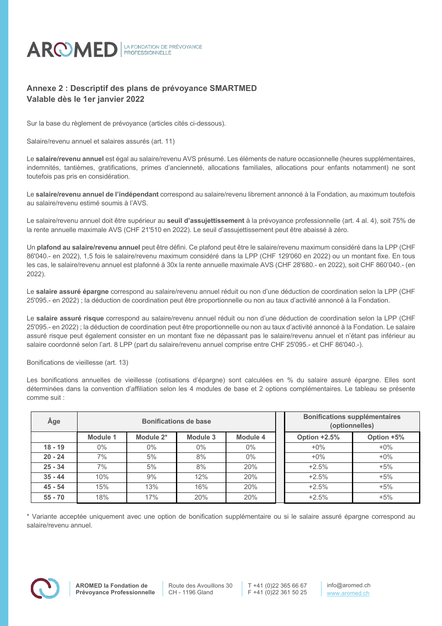

# **Annexe 2 : Descriptif des plans de prévoyance SMARTMED Valable dès le 1er janvier 2022**

Sur la base du règlement de prévoyance (articles cités ci-dessous).

Salaire/revenu annuel et salaires assurés (art. 11)

Le **salaire/revenu annuel** est égal au salaire/revenu AVS présumé. Les éléments de nature occasionnelle (heures supplémentaires, indemnités, tantièmes, gratifications, primes d'ancienneté, allocations familiales, allocations pour enfants notamment) ne sont toutefois pas pris en considération.

Le **salaire/revenu annuel de l'indépendant** correspond au salaire/revenu librement annoncé à la Fondation, au maximum toutefois au salaire/revenu estimé soumis à l'AVS.

Le salaire/revenu annuel doit être supérieur au **seuil d'assujettissement** à la prévoyance professionnelle (art. 4 al. 4), soit 75% de la rente annuelle maximale AVS (CHF 21'510 en 2022). Le seuil d'assujettissement peut être abaissé à zéro.

Un **plafond au salaire/revenu annuel** peut être défini. Ce plafond peut être le salaire/revenu maximum considéré dans la LPP (CHF 86'040.- en 2022), 1,5 fois le salaire/revenu maximum considéré dans la LPP (CHF 129'060 en 2022) ou un montant fixe. En tous les cas, le salaire/revenu annuel est plafonné à 30x la rente annuelle maximale AVS (CHF 28'680.- en 2022), soit CHF 860'040.- (en 2022).

Le **salaire assuré épargne** correspond au salaire/revenu annuel réduit ou non d'une déduction de coordination selon la LPP (CHF 25'095.- en 2022) ; la déduction de coordination peut être proportionnelle ou non au taux d'activité annoncé à la Fondation.

Le **salaire assuré risque** correspond au salaire/revenu annuel réduit ou non d'une déduction de coordination selon la LPP (CHF 25'095.- en 2022) ; la déduction de coordination peut être proportionnelle ou non au taux d'activité annoncé à la Fondation. Le salaire assuré risque peut également consister en un montant fixe ne dépassant pas le salaire/revenu annuel et n'étant pas inférieur au salaire coordonné selon l'art. 8 LPP (part du salaire/revenu annuel comprise entre CHF 25'095.- et CHF 86'040.-).

Bonifications de vieillesse (art. 13)

Les bonifications annuelles de vieillesse (cotisations d'épargne) sont calculées en % du salaire assuré épargne. Elles sont déterminées dans la convention d'affiliation selon les 4 modules de base et 2 options complémentaires. Le tableau se présente comme suit :

| Âge       | <b>Bonifications de base</b> |           |          |          |  | <b>Bonifications supplémentaires</b><br>(optionnelles) |            |
|-----------|------------------------------|-----------|----------|----------|--|--------------------------------------------------------|------------|
|           | Module 1                     | Module 2* | Module 3 | Module 4 |  | Option +2.5%                                           | Option +5% |
| $18 - 19$ | $0\%$                        | $0\%$     | $0\%$    | $0\%$    |  | $+0\%$                                                 | $+0\%$     |
| $20 - 24$ | 7%                           | 5%        | 8%       | $0\%$    |  | $+0\%$                                                 | $+0\%$     |
| $25 - 34$ | 7%                           | 5%        | 8%       | 20%      |  | $+2.5%$                                                | $+5%$      |
| $35 - 44$ | 10%                          | 9%        | 12%      | 20%      |  | $+2.5%$                                                | $+5%$      |
| $45 - 54$ | 15%                          | 13%       | 16%      | 20%      |  | $+2.5%$                                                | $+5%$      |
| $55 - 70$ | 18%                          | 17%       | 20%      | 20%      |  | $+2.5%$                                                | $+5%$      |

\* Variante acceptée uniquement avec une option de bonification supplémentaire ou si le salaire assuré épargne correspond au salaire/revenu annuel.

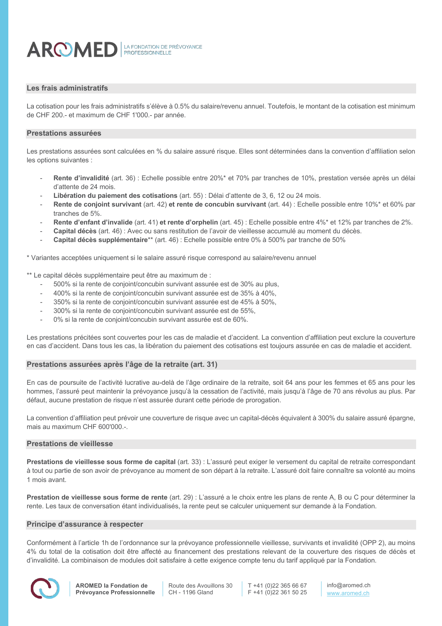

### **Les frais administratifs**

La cotisation pour les frais administratifs s'élève à 0.5% du salaire/revenu annuel. Toutefois, le montant de la cotisation est minimum de CHF 200.- et maximum de CHF 1'000.- par année.

#### **Prestations assurées**

Les prestations assurées sont calculées en % du salaire assuré risque. Elles sont déterminées dans la convention d'affiliation selon les options suivantes :

- **Rente d'invalidité** (art. 36) : Echelle possible entre 20%\* et 70% par tranches de 10%, prestation versée après un délai d'attente de 24 mois.
- **Libération du paiement des cotisations** (art. 55) : Délai d'attente de 3, 6, 12 ou 24 mois.
- **Rente de conjoint survivant** (art. 42) **et rente de concubin survivant** (art. 44) : Echelle possible entre 10%\* et 60% par tranches de 5%.
- **Rente d'enfant d'invalide** (art. 41) **et rente d'orphelin** (art. 45) : Echelle possible entre 4%\* et 12% par tranches de 2%.
- **Capital décès** (art. 46) : Avec ou sans restitution de l'avoir de vieillesse accumulé au moment du décès.
- **Capital décès supplémentaire**\*\* (art. 46) : Echelle possible entre 0% à 500% par tranche de 50%

\* Variantes acceptées uniquement si le salaire assuré risque correspond au salaire/revenu annuel

\*\* Le capital décès supplémentaire peut être au maximum de :

- 500% si la rente de conjoint/concubin survivant assurée est de 30% au plus,
- 400% si la rente de conjoint/concubin survivant assurée est de 35% à 40%,
- 350% si la rente de conjoint/concubin survivant assurée est de 45% à 50%,
- 300% si la rente de conjoint/concubin survivant assurée est de 55%,
- 0% si la rente de conjoint/concubin survivant assurée est de 60%.

Les prestations précitées sont couvertes pour les cas de maladie et d'accident. La convention d'affiliation peut exclure la couverture en cas d'accident. Dans tous les cas, la libération du paiement des cotisations est toujours assurée en cas de maladie et accident.

#### **Prestations assurées après l'âge de la retraite (art. 31)**

En cas de poursuite de l'activité lucrative au-delà de l'âge ordinaire de la retraite, soit 64 ans pour les femmes et 65 ans pour les hommes, l'assuré peut maintenir la prévoyance jusqu'à la cessation de l'activité, mais jusqu'à l'âge de 70 ans révolus au plus. Par défaut, aucune prestation de risque n'est assurée durant cette période de prorogation.

La convention d'affiliation peut prévoir une couverture de risque avec un capital-décès équivalent à 300% du salaire assuré épargne, mais au maximum CHF 600'000.-.

### **Prestations de vieillesse**

**Prestations de vieillesse sous forme de capital** (art. 33) : L'assuré peut exiger le versement du capital de retraite correspondant à tout ou partie de son avoir de prévoyance au moment de son départ à la retraite. L'assuré doit faire connaître sa volonté au moins 1 mois avant.

**Prestation de vieillesse sous forme de rente** (art. 29) : L'assuré a le choix entre les plans de rente A, B ou C pour déterminer la rente. Les taux de conversation étant individualisés, la rente peut se calculer uniquement sur demande à la Fondation.

#### **Principe d'assurance à respecter**

Conformément à l'article 1h de l'ordonnance sur la prévoyance professionnelle vieillesse, survivants et invalidité (OPP 2), au moins 4% du total de la cotisation doit être affecté au financement des prestations relevant de la couverture des risques de décès et d'invalidité. La combinaison de modules doit satisfaire à cette exigence compte tenu du tarif appliqué par la Fondation.



Route des Avouillons 30 CH - 1196 Gland

T +41 (0)22 365 66 67 F +41 (0)22 361 50 25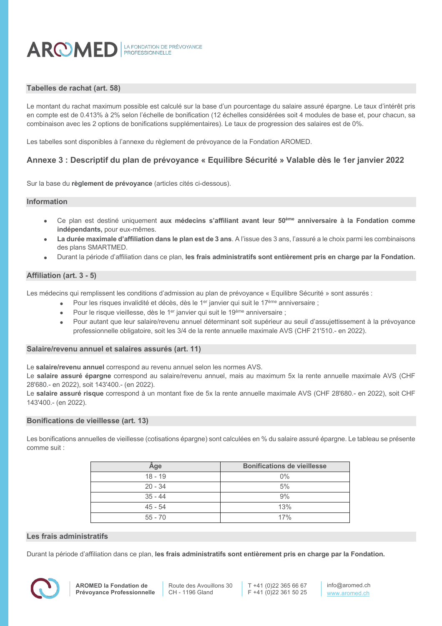

### **Tabelles de rachat (art. 58)**

Le montant du rachat maximum possible est calculé sur la base d'un pourcentage du salaire assuré épargne. Le taux d'intérêt pris en compte est de 0.413% à 2% selon l'échelle de bonification (12 échelles considérées soit 4 modules de base et, pour chacun, sa combinaison avec les 2 options de bonifications supplémentaires). Le taux de progression des salaires est de 0%.

Les tabelles sont disponibles à l'annexe du règlement de prévoyance de la Fondation AROMED.

### **Annexe 3 : Descriptif du plan de prévoyance « Equilibre Sécurité » Valable dès le 1er janvier 2022**

Sur la base du **règlement de prévoyance** (articles cités ci-dessous).

#### **Information**

- Ce plan est destiné uniquement **aux médecins s'affiliant avant leur 50ème anniversaire à la Fondation comme indépendants,** pour eux-mêmes.
- **La durée maximale d'affiliation dans le plan est de 3 ans**. A l'issue des 3 ans, l'assuré a le choix parmi les combinaisons des plans SMARTMED.
- Durant la période d'affiliation dans ce plan, **les frais administratifs sont entièrement pris en charge par la Fondation.**

#### **Affiliation (art. 3 - 5)**

Les médecins qui remplissent les conditions d'admission au plan de prévoyance « Equilibre Sécurité » sont assurés :

- Pour les risques invalidité et décès, dès le 1<sup>er</sup> janvier qui suit le 17<sup>ème</sup> anniversaire ;
- Pour le risque vieillesse, dès le 1<sup>er</sup> janvier qui suit le 19<sup>ème</sup> anniversaire ;
- Pour autant que leur salaire/revenu annuel déterminant soit supérieur au seuil d'assujettissement à la prévoyance professionnelle obligatoire, soit les 3/4 de la rente annuelle maximale AVS (CHF 21'510.- en 2022).

#### **Salaire/revenu annuel et salaires assurés (art. 11)**

Le **salaire/revenu annuel** correspond au revenu annuel selon les normes AVS.

Le **salaire assuré épargne** correspond au salaire/revenu annuel, mais au maximum 5x la rente annuelle maximale AVS (CHF 28'680.- en 2022), soit 143'400.- (en 2022).

Le **salaire assuré risque** correspond à un montant fixe de 5x la rente annuelle maximale AVS (CHF 28'680.- en 2022), soit CHF 143'400.- (en 2022).

#### **Bonifications de vieillesse (art. 13)**

Les bonifications annuelles de vieillesse (cotisations épargne) sont calculées en % du salaire assuré épargne. Le tableau se présente comme suit :

| Âge       | <b>Bonifications de vieillesse</b> |
|-----------|------------------------------------|
| $18 - 19$ | 0%                                 |
| $20 - 34$ | 5%                                 |
| $35 - 44$ | 9%                                 |
| $45 - 54$ | 13%                                |
| $55 - 70$ | 17%                                |

#### **Les frais administratifs**

Durant la période d'affiliation dans ce plan, **les frais administratifs sont entièrement pris en charge par la Fondation.**

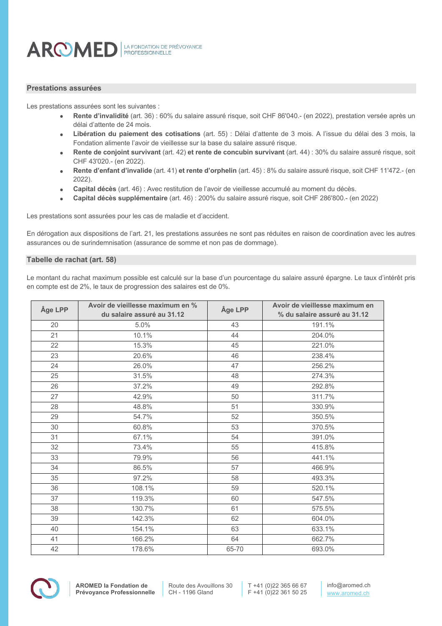### **Prestations assurées**

Les prestations assurées sont les suivantes :

- **Rente d'invalidité** (art. 36) : 60% du salaire assuré risque, soit CHF 86'040.- (en 2022), prestation versée après un délai d'attente de 24 mois.
- **Libération du paiement des cotisations** (art. 55) : Délai d'attente de 3 mois. A l'issue du délai des 3 mois, la Fondation alimente l'avoir de vieillesse sur la base du salaire assuré risque.
- **Rente de conjoint survivant** (art. 42) **et rente de concubin survivant** (art. 44) : 30% du salaire assuré risque, soit CHF 43'020.- (en 2022).
- **Rente d'enfant d'invalide** (art. 41) **et rente d'orphelin** (art. 45) : 8% du salaire assuré risque, soit CHF 11'472.- (en 2022).
- **Capital décès** (art. 46) : Avec restitution de l'avoir de vieillesse accumulé au moment du décès.
- **Capital décès supplémentaire** (art. 46) : 200% du salaire assuré risque, soit CHF 286'800.- (en 2022)

Les prestations sont assurées pour les cas de maladie et d'accident.

En dérogation aux dispositions de l'art. 21, les prestations assurées ne sont pas réduites en raison de coordination avec les autres assurances ou de surindemnisation (assurance de somme et non pas de dommage).

#### **Tabelle de rachat (art. 58)**

Le montant du rachat maximum possible est calculé sur la base d'un pourcentage du salaire assuré épargne. Le taux d'intérêt pris en compte est de 2%, le taux de progression des salaires est de 0%.

| Âge LPP | Avoir de vieillesse maximum en %<br>du salaire assuré au 31.12 | Âge LPP | Avoir de vieillesse maximum en<br>% du salaire assuré au 31.12 |  |
|---------|----------------------------------------------------------------|---------|----------------------------------------------------------------|--|
| 20      | 5.0%                                                           | 43      | 191.1%                                                         |  |
| 21      | 10.1%                                                          | 44      | 204.0%                                                         |  |
| 22      | 15.3%                                                          | 45      | 221.0%                                                         |  |
| 23      | 20.6%                                                          | 46      | 238.4%                                                         |  |
| 24      | 26.0%                                                          | 47      | 256.2%                                                         |  |
| 25      | 31.5%                                                          | 48      | 274.3%                                                         |  |
| 26      | 37.2%                                                          | 49      | 292.8%                                                         |  |
| 27      | 42.9%                                                          | 50      | 311.7%                                                         |  |
| 28      | 48.8%                                                          | 51      | 330.9%                                                         |  |
| 29      | 54.7%                                                          | 52      | 350.5%                                                         |  |
| 30      | 60.8%                                                          | 53      | 370.5%                                                         |  |
| 31      | 67.1%                                                          | 54      | 391.0%                                                         |  |
| 32      | 73.4%                                                          | 55      | 415.8%                                                         |  |
| 33      | 79.9%                                                          | 56      | 441.1%                                                         |  |
| 34      | 86.5%                                                          | 57      | 466.9%                                                         |  |
| 35      | 97.2%                                                          | 58      | 493.3%                                                         |  |
| 36      | 108.1%                                                         | 59      | 520.1%                                                         |  |
| 37      | 119.3%                                                         | 60      | 547.5%                                                         |  |
| 38      | 130.7%                                                         | 61      | 575.5%                                                         |  |
| 39      | 142.3%                                                         | 62      | 604.0%                                                         |  |
| 40      | 154.1%                                                         | 63      | 633.1%                                                         |  |
| 41      | 166.2%                                                         | 64      | 662.7%                                                         |  |
| 42      | 178.6%                                                         | 65-70   | 693.0%                                                         |  |